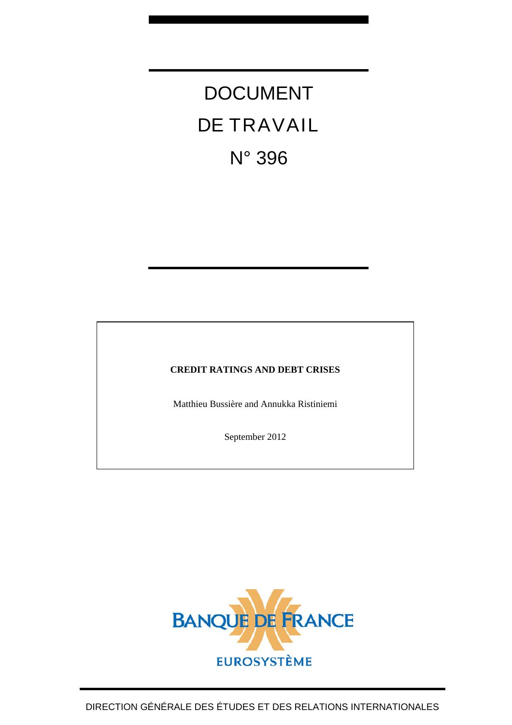DOCUMENT DE TRAVAIL N° 396

## **CREDIT RATINGS AND DEBT CRISES**

Matthieu Bussière and Annukka Ristiniemi

September 2012

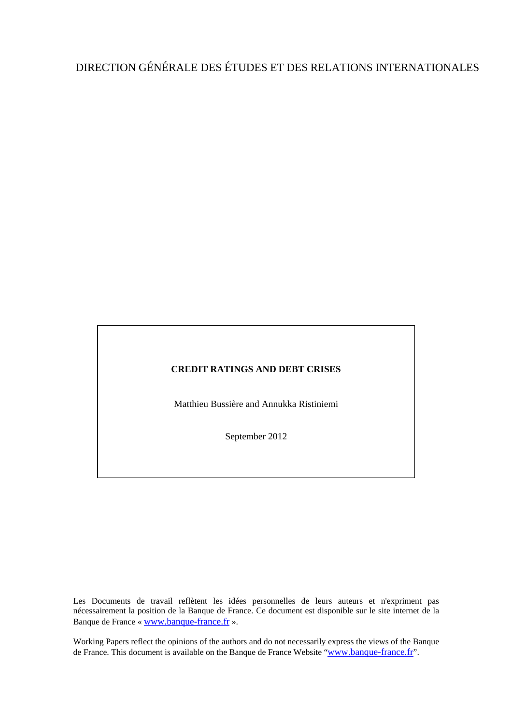# DIRECTION GÉNÉRALE DES ÉTUDES ET DES RELATIONS INTERNATIONALES

### **CREDIT RATINGS AND DEBT CRISES**

Matthieu Bussière and Annukka Ristiniemi

September 2012

Les Documents de travail reflètent les idées personnelles de leurs auteurs et n'expriment pas nécessairement la position de la Banque de France. Ce document est disponible sur le site internet de la Banque de France « [www.banque-france.fr](http://www.banque-france.fr/) ».

Working Papers reflect the opinions of the authors and do not necessarily express the views of the Banque de France. This document is available on the Banque de France Website "[www.banque-france.fr](http://www.banque-france.fr/)".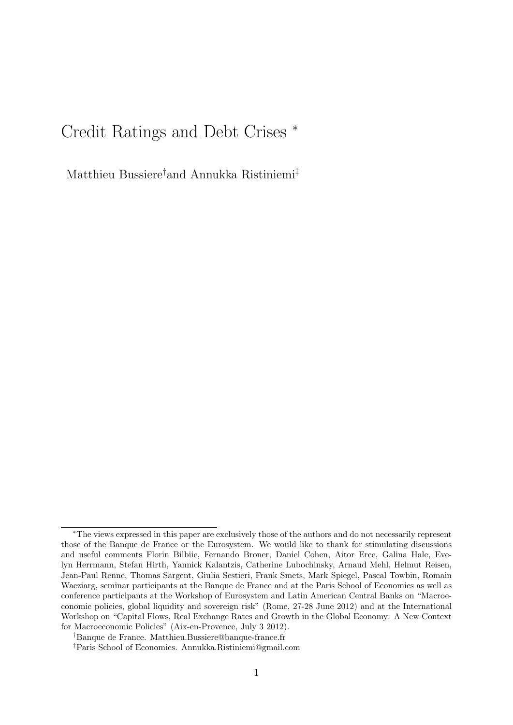# Credit Ratings and Debt Crises <sup>∗</sup>

Matthieu Bussiere†and Annukka Ristiniemi‡

<sup>∗</sup>The views expressed in this paper are exclusively those of the authors and do not necessarily represent those of the Banque de France or the Eurosystem. We would like to thank for stimulating discussions and useful comments Florin Bilbiie, Fernando Broner, Daniel Cohen, Aitor Erce, Galina Hale, Evelyn Herrmann, Stefan Hirth, Yannick Kalantzis, Catherine Lubochinsky, Arnaud Mehl, Helmut Reisen, Jean-Paul Renne, Thomas Sargent, Giulia Sestieri, Frank Smets, Mark Spiegel, Pascal Towbin, Romain Wacziarg, seminar participants at the Banque de France and at the Paris School of Economics as well as conference participants at the Workshop of Eurosystem and Latin American Central Banks on "Macroeconomic policies, global liquidity and sovereign risk" (Rome, 27-28 June 2012) and at the International Workshop on "Capital Flows, Real Exchange Rates and Growth in the Global Economy: A New Context for Macroeconomic Policies" (Aix-en-Provence, July 3 2012).

<sup>†</sup>Banque de France. Matthieu.Bussiere@banque-france.fr

<sup>‡</sup>Paris School of Economics. Annukka.Ristiniemi@gmail.com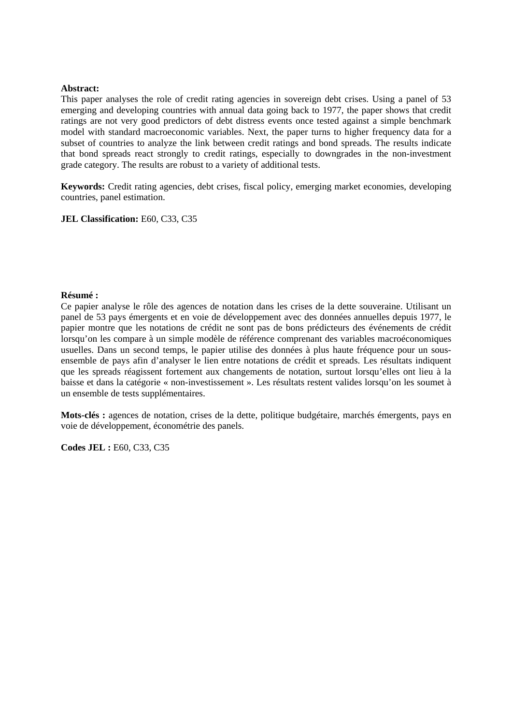#### **Abstract:**

This paper analyses the role of credit rating agencies in sovereign debt crises. Using a panel of 53 emerging and developing countries with annual data going back to 1977, the paper shows that credit ratings are not very good predictors of debt distress events once tested against a simple benchmark model with standard macroeconomic variables. Next, the paper turns to higher frequency data for a subset of countries to analyze the link between credit ratings and bond spreads. The results indicate that bond spreads react strongly to credit ratings, especially to downgrades in the non-investment grade category. The results are robust to a variety of additional tests.

**Keywords:** Credit rating agencies, debt crises, fiscal policy, emerging market economies, developing countries, panel estimation.

**JEL Classification:** E60, C33, C35

#### **Résumé :**

Ce papier analyse le rôle des agences de notation dans les crises de la dette souveraine. Utilisant un panel de 53 pays émergents et en voie de développement avec des données annuelles depuis 1977, le papier montre que les notations de crédit ne sont pas de bons prédicteurs des événements de crédit lorsqu'on les compare à un simple modèle de référence comprenant des variables macroéconomiques usuelles. Dans un second temps, le papier utilise des données à plus haute fréquence pour un sousensemble de pays afin d'analyser le lien entre notations de crédit et spreads. Les résultats indiquent que les spreads réagissent fortement aux changements de notation, surtout lorsqu'elles ont lieu à la baisse et dans la catégorie « non-investissement ». Les résultats restent valides lorsqu'on les soumet à un ensemble de tests supplémentaires.

**Mots-clés :** agences de notation, crises de la dette, politique budgétaire, marchés émergents, pays en voie de développement, économétrie des panels.

**Codes JEL :** E60, C33, C35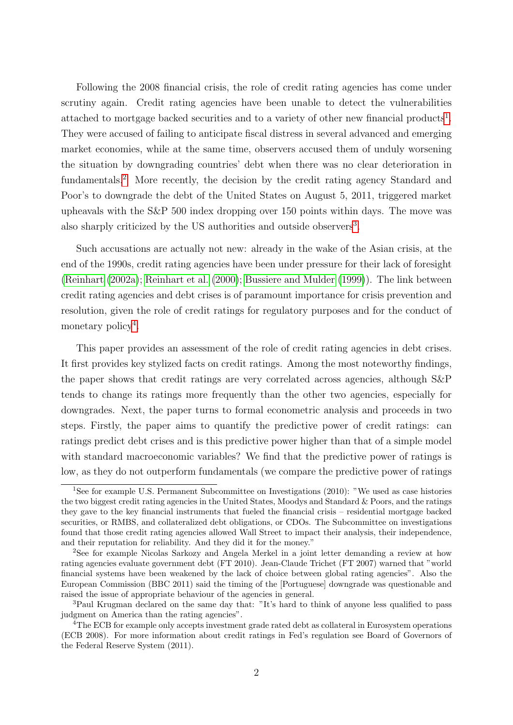Following the 2008 financial crisis, the role of credit rating agencies has come under scrutiny again. Credit rating agencies have been unable to detect the vulnerabilities attached to mortgage backed securities and to a variety of other new financial products<sup>[1](#page-4-0)</sup>. They were accused of failing to anticipate fiscal distress in several advanced and emerging market economies, while at the same time, observers accused them of unduly worsening the situation by downgrading countries' debt when there was no clear deterioration in fundamentals.[2](#page-4-1) More recently, the decision by the credit rating agency Standard and Poor's to downgrade the debt of the United States on August 5, 2011, triggered market upheavals with the S&P 500 index dropping over 150 points within days. The move was also sharply criticized by the US authorities and outside observers<sup>[3](#page-4-2)</sup>.

Such accusations are actually not new: already in the wake of the Asian crisis, at the end of the 1990s, credit rating agencies have been under pressure for their lack of foresight [\(Reinhart](#page-34-0) [\(2002a\)](#page-34-0); [Reinhart et al.](#page-34-1) [\(2000\)](#page-34-1); [Bussiere and Mulder](#page-31-0) [\(1999\)](#page-31-0)). The link between credit rating agencies and debt crises is of paramount importance for crisis prevention and resolution, given the role of credit ratings for regulatory purposes and for the conduct of monetary policy<sup>[4](#page-4-3)</sup>.

This paper provides an assessment of the role of credit rating agencies in debt crises. It first provides key stylized facts on credit ratings. Among the most noteworthy findings, the paper shows that credit ratings are very correlated across agencies, although S&P tends to change its ratings more frequently than the other two agencies, especially for downgrades. Next, the paper turns to formal econometric analysis and proceeds in two steps. Firstly, the paper aims to quantify the predictive power of credit ratings: can ratings predict debt crises and is this predictive power higher than that of a simple model with standard macroeconomic variables? We find that the predictive power of ratings is low, as they do not outperform fundamentals (we compare the predictive power of ratings

<span id="page-4-0"></span><sup>&</sup>lt;sup>1</sup>See for example U.S. Permanent Subcommittee on Investigations (2010): "We used as case histories the two biggest credit rating agencies in the United States, Moodys and Standard & Poors, and the ratings they gave to the key financial instruments that fueled the financial crisis – residential mortgage backed securities, or RMBS, and collateralized debt obligations, or CDOs. The Subcommittee on investigations found that those credit rating agencies allowed Wall Street to impact their analysis, their independence, and their reputation for reliability. And they did it for the money."

<span id="page-4-1"></span><sup>2</sup>See for example Nicolas Sarkozy and Angela Merkel in a joint letter demanding a review at how rating agencies evaluate government debt (FT 2010). Jean-Claude Trichet (FT 2007) warned that "world financial systems have been weakened by the lack of choice between global rating agencies". Also the European Commission (BBC 2011) said the timing of the [Portuguese] downgrade was questionable and raised the issue of appropriate behaviour of the agencies in general.

<span id="page-4-2"></span><sup>&</sup>lt;sup>3</sup>Paul Krugman declared on the same day that: "It's hard to think of anyone less qualified to pass judgment on America than the rating agencies".

<span id="page-4-3"></span><sup>&</sup>lt;sup>4</sup>The ECB for example only accepts investment grade rated debt as collateral in Eurosystem operations (ECB 2008). For more information about credit ratings in Fed's regulation see Board of Governors of the Federal Reserve System (2011).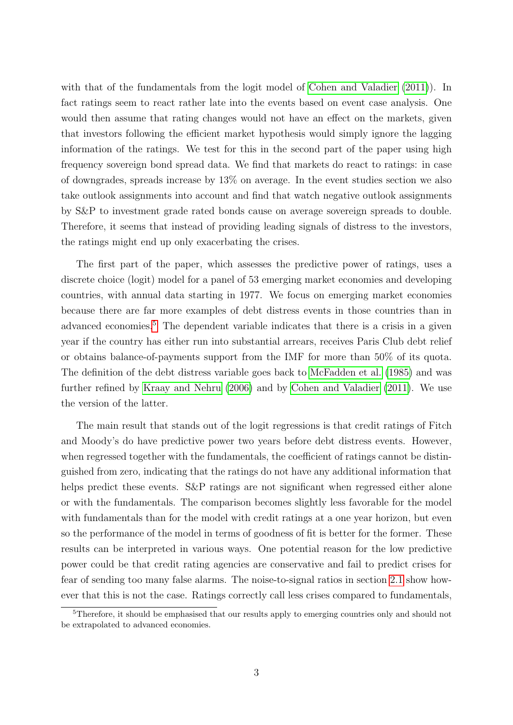with that of the fundamentals from the logit model of [Cohen and Valadier](#page-32-0) [\(2011\)](#page-32-0)). In fact ratings seem to react rather late into the events based on event case analysis. One would then assume that rating changes would not have an effect on the markets, given that investors following the efficient market hypothesis would simply ignore the lagging information of the ratings. We test for this in the second part of the paper using high frequency sovereign bond spread data. We find that markets do react to ratings: in case of downgrades, spreads increase by 13% on average. In the event studies section we also take outlook assignments into account and find that watch negative outlook assignments by S&P to investment grade rated bonds cause on average sovereign spreads to double. Therefore, it seems that instead of providing leading signals of distress to the investors, the ratings might end up only exacerbating the crises.

The first part of the paper, which assesses the predictive power of ratings, uses a discrete choice (logit) model for a panel of 53 emerging market economies and developing countries, with annual data starting in 1977. We focus on emerging market economies because there are far more examples of debt distress events in those countries than in advanced economies.<sup>[5](#page-5-0)</sup> The dependent variable indicates that there is a crisis in a given year if the country has either run into substantial arrears, receives Paris Club debt relief or obtains balance-of-payments support from the IMF for more than 50% of its quota. The definition of the debt distress variable goes back to [McFadden et al.](#page-34-2) [\(1985\)](#page-34-2) and was further refined by [Kraay and Nehru](#page-33-0) [\(2006\)](#page-33-0) and by [Cohen and Valadier](#page-32-0) [\(2011\)](#page-32-0). We use the version of the latter.

The main result that stands out of the logit regressions is that credit ratings of Fitch and Moody's do have predictive power two years before debt distress events. However, when regressed together with the fundamentals, the coefficient of ratings cannot be distinguished from zero, indicating that the ratings do not have any additional information that helps predict these events. S&P ratings are not significant when regressed either alone or with the fundamentals. The comparison becomes slightly less favorable for the model with fundamentals than for the model with credit ratings at a one year horizon, but even so the performance of the model in terms of goodness of fit is better for the former. These results can be interpreted in various ways. One potential reason for the low predictive power could be that credit rating agencies are conservative and fail to predict crises for fear of sending too many false alarms. The noise-to-signal ratios in section [2.1](#page-14-0) show however that this is not the case. Ratings correctly call less crises compared to fundamentals,

<span id="page-5-0"></span> $5<sup>5</sup>$ Therefore, it should be emphasised that our results apply to emerging countries only and should not be extrapolated to advanced economies.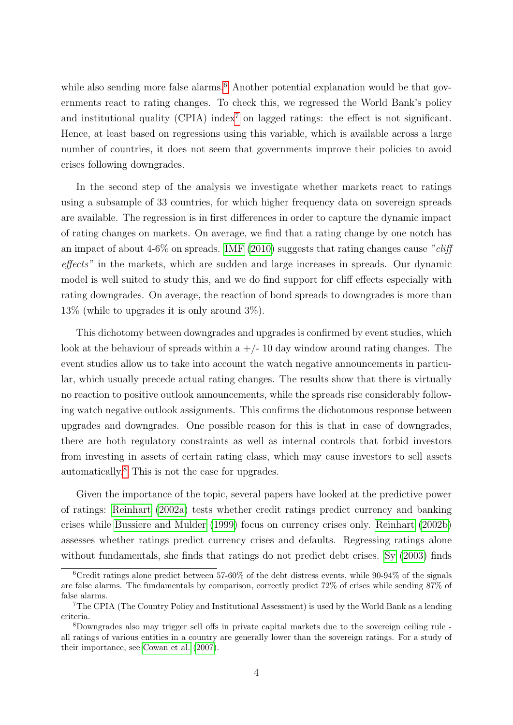while also sending more false alarms.<sup>[6](#page-6-0)</sup> Another potential explanation would be that governments react to rating changes. To check this, we regressed the World Bank's policy and institutional quality (CPIA) index<sup>[7](#page-6-1)</sup> on lagged ratings: the effect is not significant. Hence, at least based on regressions using this variable, which is available across a large number of countries, it does not seem that governments improve their policies to avoid crises following downgrades.

In the second step of the analysis we investigate whether markets react to ratings using a subsample of 33 countries, for which higher frequency data on sovereign spreads are available. The regression is in first differences in order to capture the dynamic impact of rating changes on markets. On average, we find that a rating change by one notch has an impact of about  $4-6\%$  on spreads. [IMF](#page-33-1) [\(2010\)](#page-33-1) suggests that rating changes cause "cliff effects" in the markets, which are sudden and large increases in spreads. Our dynamic model is well suited to study this, and we do find support for cliff effects especially with rating downgrades. On average, the reaction of bond spreads to downgrades is more than 13% (while to upgrades it is only around 3%).

This dichotomy between downgrades and upgrades is confirmed by event studies, which look at the behaviour of spreads within a  $+/-10$  day window around rating changes. The event studies allow us to take into account the watch negative announcements in particular, which usually precede actual rating changes. The results show that there is virtually no reaction to positive outlook announcements, while the spreads rise considerably following watch negative outlook assignments. This confirms the dichotomous response between upgrades and downgrades. One possible reason for this is that in case of downgrades, there are both regulatory constraints as well as internal controls that forbid investors from investing in assets of certain rating class, which may cause investors to sell assets automatically.[8](#page-6-2) This is not the case for upgrades.

Given the importance of the topic, several papers have looked at the predictive power of ratings: [Reinhart](#page-34-0) [\(2002a\)](#page-34-0) tests whether credit ratings predict currency and banking crises while [Bussiere and Mulder](#page-31-0) [\(1999\)](#page-31-0) focus on currency crises only. [Reinhart](#page-34-3) [\(2002b\)](#page-34-3) assesses whether ratings predict currency crises and defaults. Regressing ratings alone without fundamentals, she finds that ratings do not predict debt crises. [Sy](#page-34-4) [\(2003\)](#page-34-4) finds

<span id="page-6-0"></span><sup>&</sup>lt;sup>6</sup>Credit ratings alone predict between 57-60% of the debt distress events, while 90-94% of the signals are false alarms. The fundamentals by comparison, correctly predict 72% of crises while sending 87% of false alarms.

<span id="page-6-1"></span><sup>7</sup>The CPIA (The Country Policy and Institutional Assessment) is used by the World Bank as a lending criteria.

<span id="page-6-2"></span><sup>8</sup>Downgrades also may trigger sell offs in private capital markets due to the sovereign ceiling rule all ratings of various entities in a country are generally lower than the sovereign ratings. For a study of their importance, see [Cowan et al.](#page-32-1) [\(2007\)](#page-32-1).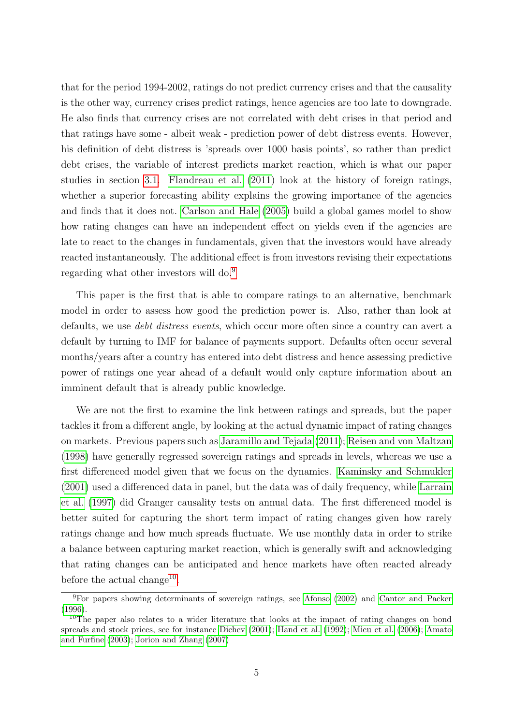that for the period 1994-2002, ratings do not predict currency crises and that the causality is the other way, currency crises predict ratings, hence agencies are too late to downgrade. He also finds that currency crises are not correlated with debt crises in that period and that ratings have some - albeit weak - prediction power of debt distress events. However, his definition of debt distress is 'spreads over 1000 basis points', so rather than predict debt crises, the variable of interest predicts market reaction, which is what our paper studies in section [3.1.](#page-23-0) [Flandreau et al.](#page-33-2) [\(2011\)](#page-33-2) look at the history of foreign ratings, whether a superior forecasting ability explains the growing importance of the agencies and finds that it does not. [Carlson and Hale](#page-31-1) [\(2005\)](#page-31-1) build a global games model to show how rating changes can have an independent effect on yields even if the agencies are late to react to the changes in fundamentals, given that the investors would have already reacted instantaneously. The additional effect is from investors revising their expectations regarding what other investors will do.[9](#page-7-0)

This paper is the first that is able to compare ratings to an alternative, benchmark model in order to assess how good the prediction power is. Also, rather than look at defaults, we use debt distress events, which occur more often since a country can avert a default by turning to IMF for balance of payments support. Defaults often occur several months/years after a country has entered into debt distress and hence assessing predictive power of ratings one year ahead of a default would only capture information about an imminent default that is already public knowledge.

We are not the first to examine the link between ratings and spreads, but the paper tackles it from a different angle, by looking at the actual dynamic impact of rating changes on markets. Previous papers such as [Jaramillo and Tejada](#page-33-3) [\(2011\)](#page-33-3); [Reisen and von Maltzan](#page-34-5) [\(1998\)](#page-34-5) have generally regressed sovereign ratings and spreads in levels, whereas we use a first differenced model given that we focus on the dynamics. [Kaminsky and Schmukler](#page-33-4) [\(2001\)](#page-33-4) used a differenced data in panel, but the data was of daily frequency, while [Larrain](#page-33-5) [et al.](#page-33-5) [\(1997\)](#page-33-5) did Granger causality tests on annual data. The first differenced model is better suited for capturing the short term impact of rating changes given how rarely ratings change and how much spreads fluctuate. We use monthly data in order to strike a balance between capturing market reaction, which is generally swift and acknowledging that rating changes can be anticipated and hence markets have often reacted already before the actual change<sup>[10](#page-7-1)</sup>.

<span id="page-7-0"></span> ${}^{9}$ For papers showing determinants of sovereign ratings, see [Afonso](#page-31-2) [\(2002\)](#page-31-2) and [Cantor and Packer](#page-31-3) [\(1996\)](#page-31-3).

<span id="page-7-1"></span><sup>&</sup>lt;sup>10</sup>The paper also relates to a wider literature that looks at the impact of rating changes on bond spreads and stock prices, see for instance [Dichev](#page-32-2) [\(2001\)](#page-32-2); [Hand et al.](#page-33-6) [\(1992\)](#page-33-6); [Micu et al.](#page-34-6) [\(2006\)](#page-34-6); [Amato](#page-31-4) [and Furfine](#page-31-4) [\(2003\)](#page-31-4); [Jorion and Zhang](#page-33-7) [\(2007\)](#page-33-7)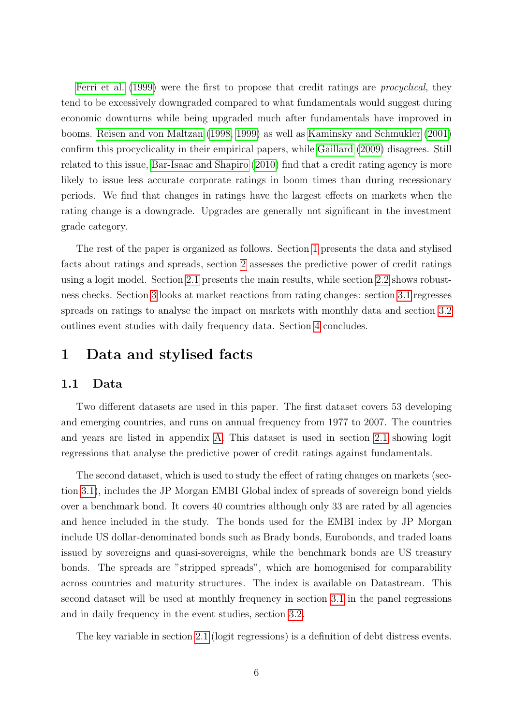[Ferri et al.](#page-32-3) [\(1999\)](#page-32-3) were the first to propose that credit ratings are *procyclical*, they tend to be excessively downgraded compared to what fundamentals would suggest during economic downturns while being upgraded much after fundamentals have improved in booms. [Reisen and von Maltzan](#page-34-5) [\(1998,](#page-34-5) [1999\)](#page-34-7) as well as [Kaminsky and Schmukler](#page-33-4) [\(2001\)](#page-33-4) confirm this procyclicality in their empirical papers, while [Gaillard](#page-33-8) [\(2009\)](#page-33-8) disagrees. Still related to this issue, [Bar-Isaac and Shapiro](#page-31-5) [\(2010\)](#page-31-5) find that a credit rating agency is more likely to issue less accurate corporate ratings in boom times than during recessionary periods. We find that changes in ratings have the largest effects on markets when the rating change is a downgrade. Upgrades are generally not significant in the investment grade category.

The rest of the paper is organized as follows. Section [1](#page-8-0) presents the data and stylised facts about ratings and spreads, section [2](#page-14-1) assesses the predictive power of credit ratings using a logit model. Section [2.1](#page-14-0) presents the main results, while section [2.2](#page-22-0) shows robustness checks. Section [3](#page-23-1) looks at market reactions from rating changes: section [3.1](#page-23-0) regresses spreads on ratings to analyse the impact on markets with monthly data and section [3.2](#page-28-0) outlines event studies with daily frequency data. Section [4](#page-30-0) concludes.

# <span id="page-8-0"></span>1 Data and stylised facts

### <span id="page-8-1"></span>1.1 Data

Two different datasets are used in this paper. The first dataset covers 53 developing and emerging countries, and runs on annual frequency from 1977 to 2007. The countries and years are listed in appendix [A.](#page-36-0) This dataset is used in section [2.1](#page-14-0) showing logit regressions that analyse the predictive power of credit ratings against fundamentals.

The second dataset, which is used to study the effect of rating changes on markets (section [3.1\)](#page-23-0), includes the JP Morgan EMBI Global index of spreads of sovereign bond yields over a benchmark bond. It covers 40 countries although only 33 are rated by all agencies and hence included in the study. The bonds used for the EMBI index by JP Morgan include US dollar-denominated bonds such as Brady bonds, Eurobonds, and traded loans issued by sovereigns and quasi-sovereigns, while the benchmark bonds are US treasury bonds. The spreads are "stripped spreads", which are homogenised for comparability across countries and maturity structures. The index is available on Datastream. This second dataset will be used at monthly frequency in section [3.1](#page-23-0) in the panel regressions and in daily frequency in the event studies, section [3.2.](#page-28-0)

The key variable in section [2.1](#page-14-0) (logit regressions) is a definition of debt distress events.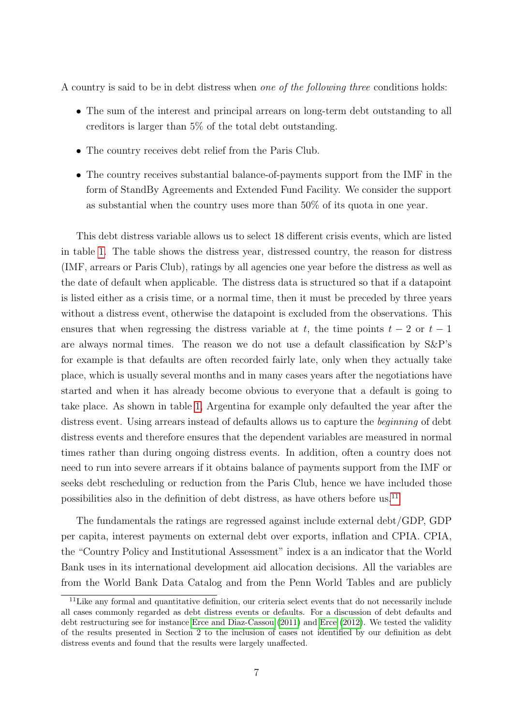A country is said to be in debt distress when one of the following three conditions holds:

- The sum of the interest and principal arrears on long-term debt outstanding to all creditors is larger than 5% of the total debt outstanding.
- The country receives debt relief from the Paris Club.
- The country receives substantial balance-of-payments support from the IMF in the form of StandBy Agreements and Extended Fund Facility. We consider the support as substantial when the country uses more than 50% of its quota in one year.

This debt distress variable allows us to select 18 different crisis events, which are listed in table [1.](#page-10-0) The table shows the distress year, distressed country, the reason for distress (IMF, arrears or Paris Club), ratings by all agencies one year before the distress as well as the date of default when applicable. The distress data is structured so that if a datapoint is listed either as a crisis time, or a normal time, then it must be preceded by three years without a distress event, otherwise the datapoint is excluded from the observations. This ensures that when regressing the distress variable at t, the time points  $t - 2$  or  $t - 1$ are always normal times. The reason we do not use a default classification by S&P's for example is that defaults are often recorded fairly late, only when they actually take place, which is usually several months and in many cases years after the negotiations have started and when it has already become obvious to everyone that a default is going to take place. As shown in table [1,](#page-10-0) Argentina for example only defaulted the year after the distress event. Using arrears instead of defaults allows us to capture the *beginning* of debt distress events and therefore ensures that the dependent variables are measured in normal times rather than during ongoing distress events. In addition, often a country does not need to run into severe arrears if it obtains balance of payments support from the IMF or seeks debt rescheduling or reduction from the Paris Club, hence we have included those possibilities also in the definition of debt distress, as have others before us.[11](#page-9-0)

The fundamentals the ratings are regressed against include external debt/GDP, GDP per capita, interest payments on external debt over exports, inflation and CPIA. CPIA, the "Country Policy and Institutional Assessment" index is a an indicator that the World Bank uses in its international development aid allocation decisions. All the variables are from the World Bank Data Catalog and from the Penn World Tables and are publicly

<span id="page-9-0"></span><sup>&</sup>lt;sup>11</sup>Like any formal and quantitative definition, our criteria select events that do not necessarily include all cases commonly regarded as debt distress events or defaults. For a discussion of debt defaults and debt restructuring see for instance [Erce and Diaz-Cassou](#page-32-4) [\(2011\)](#page-32-4) and [Erce](#page-32-5) [\(2012\)](#page-32-5). We tested the validity of the results presented in Section 2 to the inclusion of cases not identified by our definition as debt distress events and found that the results were largely unaffected.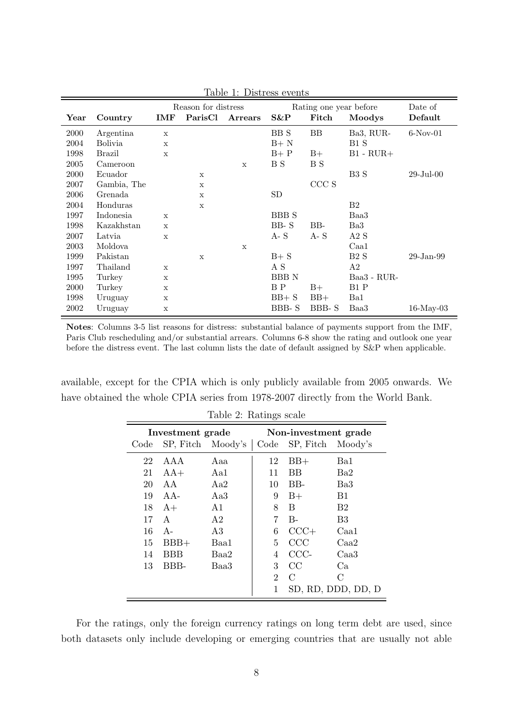|      |                |              | Reason for distress |                |              | Rating one year before |                | Date of         |
|------|----------------|--------------|---------------------|----------------|--------------|------------------------|----------------|-----------------|
| Year | Country        | IMF          | ParisCl             | <b>Arrears</b> | $S\&P$       | Fitch                  | Moodys         | Default         |
| 2000 | Argentina      | $\mathbf x$  |                     |                | BB S         | <b>BB</b>              | Ba3, RUR-      | $6-Nov-01$      |
| 2004 | <b>Bolivia</b> | X            |                     |                | $B+$ N       |                        | B1 S           |                 |
| 1998 | <b>Brazil</b>  | $\mathbf x$  |                     |                | $B+P$        | $B+$                   | $B1 - RUR +$   |                 |
| 2005 | Cameroon       |              |                     | $\mathbf x$    | B S          | B S                    |                |                 |
| 2000 | Ecuador        |              | $\mathbf x$         |                |              |                        | B3 S           | $29$ -Jul- $00$ |
| 2007 | Gambia, The    |              | $\mathbf X$         |                |              | CCC S                  |                |                 |
| 2006 | Grenada        |              | $\mathbf x$         |                | SD           |                        |                |                 |
| 2004 | Honduras       |              | $\mathbf x$         |                |              |                        | B <sub>2</sub> |                 |
| 1997 | Indonesia      | $\mathbf{x}$ |                     |                | <b>BBB</b> S |                        | Baa3           |                 |
| 1998 | Kazakhstan     | $\mathbf x$  |                     |                | $BB-S$       | BB-                    | Ba3            |                 |
| 2007 | Latvia         | $\mathbf x$  |                     |                | $A - S$      | $A - S$                | A2S            |                 |
| 2003 | Moldova        |              |                     | $\mathbf x$    |              |                        | Caa1           |                 |
| 1999 | Pakistan       |              | $\mathbf x$         |                | $B + S$      |                        | B2S            | $29$ -Jan- $99$ |
| 1997 | Thailand       | X            |                     |                | A S          |                        | A2             |                 |
| 1995 | Turkey         | X            |                     |                | <b>BBBN</b>  |                        | Baa3 - RUR-    |                 |
| 2000 | Turkey         | X            |                     |                | B P          | $B+$                   | B1 P           |                 |
| 1998 | Uruguay        | X            |                     |                | $BB + S$     | $BB+$                  | Ba1            |                 |
| 2002 | Uruguay        | $\mathbf X$  |                     |                | BBB-S        | BBB-S                  | Baa3           | $16$ -May-03    |

<span id="page-10-0"></span>Table 1: Distress events

Notes: Columns 3-5 list reasons for distress: substantial balance of payments support from the IMF, Paris Club rescheduling and/or substantial arrears. Columns 6-8 show the rating and outlook one year before the distress event. The last column lists the date of default assigned by S&P when applicable.

available, except for the CPIA which is only publicly available from 2005 onwards. We have obtained the whole CPIA series from 1978-2007 directly from the World Bank.

| $\frac{1}{2}$ . The $\frac{1}{2}$ beard |                   |      |                |                        |                    |  |  |  |  |
|-----------------------------------------|-------------------|------|----------------|------------------------|--------------------|--|--|--|--|
|                                         | Investment grade  |      |                | Non-investment grade   |                    |  |  |  |  |
| Code                                    | SP, Fitch Moody's |      |                | Code SP, Fitch Moody's |                    |  |  |  |  |
| 22                                      | AAA               | Aaa  | 12             | $BB+$                  | Ba1                |  |  |  |  |
| 21                                      | $AA+$             | Aa1  | 11             | BB                     | Ba2                |  |  |  |  |
| 20                                      | AA                | Aa2  | 10             | $BB-$                  | Ba3                |  |  |  |  |
| 19                                      | $AA-$             | Aa3  | 9              | $B+$                   | B1                 |  |  |  |  |
| 18                                      | $A+$              | A1   | 8              | B                      | B <sub>2</sub>     |  |  |  |  |
| 17                                      | $\mathsf{A}$      | A2   | 7              | $B -$                  | B <sub>3</sub>     |  |  |  |  |
| 16                                      | $A-$              | A3   | 6              | $CCC+$                 | Caa1               |  |  |  |  |
| 15                                      | $BBB+$            | Baa1 | 5              | CCC                    | Caa2               |  |  |  |  |
| 14                                      | BBB               | Baa2 | 4              | CCC-                   | Caa3               |  |  |  |  |
| 13                                      | BBB-              | Baa3 | 3              | CC                     | Ca                 |  |  |  |  |
|                                         |                   |      | $\overline{2}$ | $\mathcal{C}$          | С                  |  |  |  |  |
|                                         |                   |      | 1              |                        | SD, RD, DDD, DD, D |  |  |  |  |

<span id="page-10-1"></span>Table 2: Ratings scale

For the ratings, only the foreign currency ratings on long term debt are used, since both datasets only include developing or emerging countries that are usually not able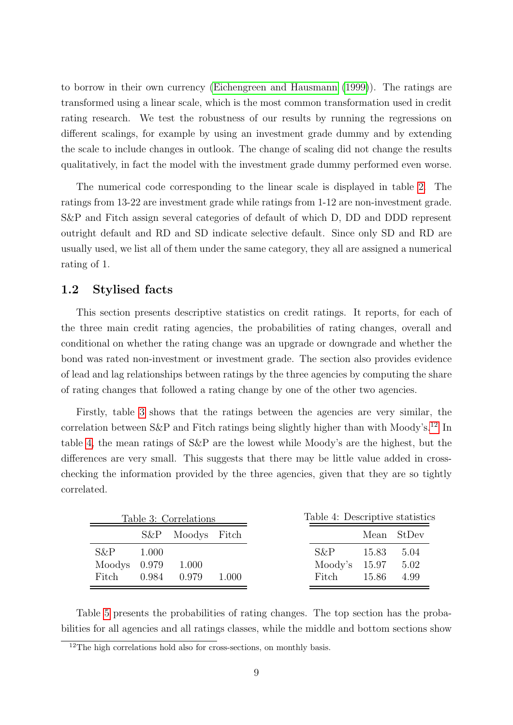to borrow in their own currency [\(Eichengreen and Hausmann](#page-32-6) [\(1999\)](#page-32-6)). The ratings are transformed using a linear scale, which is the most common transformation used in credit rating research. We test the robustness of our results by running the regressions on different scalings, for example by using an investment grade dummy and by extending the scale to include changes in outlook. The change of scaling did not change the results qualitatively, in fact the model with the investment grade dummy performed even worse.

The numerical code corresponding to the linear scale is displayed in table [2.](#page-10-1) The ratings from 13-22 are investment grade while ratings from 1-12 are non-investment grade. S&P and Fitch assign several categories of default of which D, DD and DDD represent outright default and RD and SD indicate selective default. Since only SD and RD are usually used, we list all of them under the same category, they all are assigned a numerical rating of 1.

### 1.2 Stylised facts

This section presents descriptive statistics on credit ratings. It reports, for each of the three main credit rating agencies, the probabilities of rating changes, overall and conditional on whether the rating change was an upgrade or downgrade and whether the bond was rated non-investment or investment grade. The section also provides evidence of lead and lag relationships between ratings by the three agencies by computing the share of rating changes that followed a rating change by one of the other two agencies.

Firstly, table [3](#page-11-0) shows that the ratings between the agencies are very similar, the correlation between  $S\&P$  and Fitch ratings being slightly higher than with Moody's.<sup>[12](#page-11-1)</sup> In table [4,](#page-11-2) the mean ratings of S&P are the lowest while Moody's are the highest, but the differences are very small. This suggests that there may be little value added in crosschecking the information provided by the three agencies, given that they are so tightly correlated.

<span id="page-11-2"></span><span id="page-11-0"></span>

| S&P Moodys Fitch<br>Mean StDev<br>$S\&P$<br>$S\&P$<br>15.83<br>1.000<br>$Modys$ 0.979<br>Moody's $15.97$<br>1.000<br>0.979<br>Fitch<br>15.86<br>0.984<br>Fitch<br>1.000 | Table 4: Descriptive statistics |
|-------------------------------------------------------------------------------------------------------------------------------------------------------------------------|---------------------------------|
|                                                                                                                                                                         |                                 |
|                                                                                                                                                                         | 5.04                            |
|                                                                                                                                                                         | 5.02                            |
|                                                                                                                                                                         | 4.99                            |

Table [5](#page-12-0) presents the probabilities of rating changes. The top section has the probabilities for all agencies and all ratings classes, while the middle and bottom sections show

<span id="page-11-1"></span> $12$ The high correlations hold also for cross-sections, on monthly basis.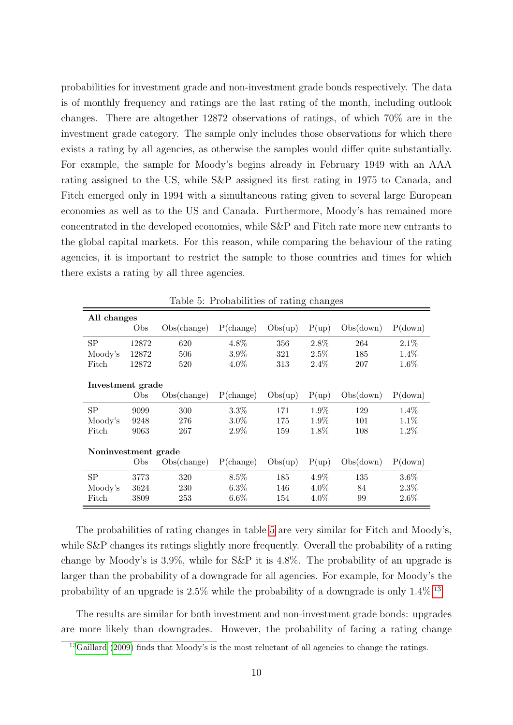probabilities for investment grade and non-investment grade bonds respectively. The data is of monthly frequency and ratings are the last rating of the month, including outlook changes. There are altogether 12872 observations of ratings, of which 70% are in the investment grade category. The sample only includes those observations for which there exists a rating by all agencies, as otherwise the samples would differ quite substantially. For example, the sample for Moody's begins already in February 1949 with an AAA rating assigned to the US, while S&P assigned its first rating in 1975 to Canada, and Fitch emerged only in 1994 with a simultaneous rating given to several large European economies as well as to the US and Canada. Furthermore, Moody's has remained more concentrated in the developed economies, while S&P and Fitch rate more new entrants to the global capital markets. For this reason, while comparing the behaviour of the rating agencies, it is important to restrict the sample to those countries and times for which there exists a rating by all three agencies.

|                     |       |             |              |         | $\check{~}$ |           |         |
|---------------------|-------|-------------|--------------|---------|-------------|-----------|---------|
| All changes         |       |             |              |         |             |           |         |
|                     | Obs   | Obs(change) | $P$ (change) | Obs(up) | P(up)       | Obs(down) | P(down) |
| SP                  | 12872 | 620         | 4.8%         | 356     | 2.8%        | 264       | $2.1\%$ |
| Moody's             | 12872 | 506         | $3.9\%$      | 321     | 2.5%        | 185       | $1.4\%$ |
| Fitch               | 12872 | 520         | $4.0\%$      | 313     | $2.4\%$     | 207       | $1.6\%$ |
|                     |       |             |              |         |             |           |         |
| Investment grade    |       |             |              |         |             |           |         |
|                     | Obs   | Obs(change) | $P$ (change) | Obs(up) | P(up)       | Obs(down) | P(down) |
| <b>SP</b>           | 9099  | 300         | 3.3%         | 171     | $1.9\%$     | 129       | 1.4\%   |
| Moody's             | 9248  | 276         | $3.0\%$      | 175     | $1.9\%$     | 101       | $1.1\%$ |
| Fitch               | 9063  | 267         | $2.9\%$      | 159     | $1.8\%$     | 108       | $1.2\%$ |
|                     |       |             |              |         |             |           |         |
| Noninvestment grade |       |             |              |         |             |           |         |
|                     | Obs   | Obs(change) | $P$ (change) | Obs(up) | P(up)       | Obs(down) | P(down) |
| SP                  | 3773  | 320         | $8.5\%$      | 185     | $4.9\%$     | 135       | $3.6\%$ |
| Moody's             | 3624  | 230         | $6.3\%$      | 146     | $4.0\%$     | 84        | $2.3\%$ |
| Fitch               | 3809  | 253         | $6.6\%$      | 154     | $4.0\%$     | 99        | $2.6\%$ |

<span id="page-12-0"></span>Table 5: Probabilities of rating changes

The probabilities of rating changes in table [5](#page-12-0) are very similar for Fitch and Moody's, while S&P changes its ratings slightly more frequently. Overall the probability of a rating change by Moody's is 3.9%, while for S&P it is 4.8%. The probability of an upgrade is larger than the probability of a downgrade for all agencies. For example, for Moody's the probability of an upgrade is  $2.5\%$  while the probability of a downgrade is only  $1.4\%$ .<sup>[13](#page-12-1)</sup>

The results are similar for both investment and non-investment grade bonds: upgrades are more likely than downgrades. However, the probability of facing a rating change

<span id="page-12-1"></span> $13$ [Gaillard](#page-33-8) [\(2009\)](#page-33-8) finds that Moody's is the most reluctant of all agencies to change the ratings.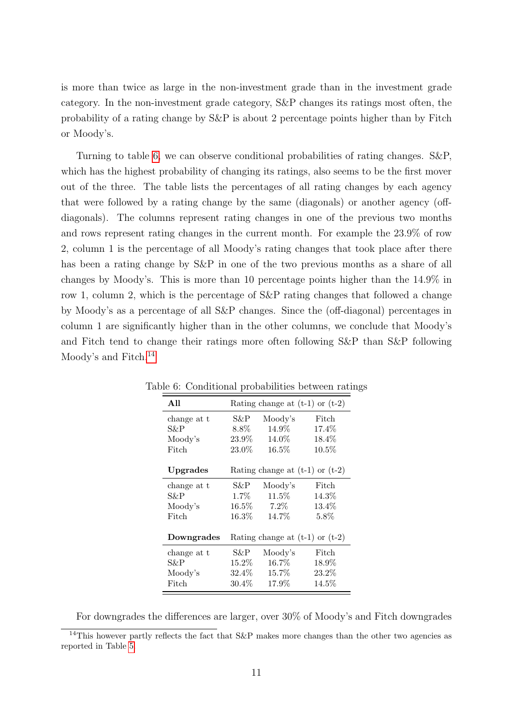is more than twice as large in the non-investment grade than in the investment grade category. In the non-investment grade category, S&P changes its ratings most often, the probability of a rating change by S&P is about 2 percentage points higher than by Fitch or Moody's.

Turning to table [6,](#page-13-0) we can observe conditional probabilities of rating changes. S&P, which has the highest probability of changing its ratings, also seems to be the first mover out of the three. The table lists the percentages of all rating changes by each agency that were followed by a rating change by the same (diagonals) or another agency (offdiagonals). The columns represent rating changes in one of the previous two months and rows represent rating changes in the current month. For example the 23.9% of row 2, column 1 is the percentage of all Moody's rating changes that took place after there has been a rating change by  $S\&P$  in one of the two previous months as a share of all changes by Moody's. This is more than 10 percentage points higher than the 14.9% in row 1, column 2, which is the percentage of S&P rating changes that followed a change by Moody's as a percentage of all S&P changes. Since the (off-diagonal) percentages in column 1 are significantly higher than in the other columns, we conclude that Moody's and Fitch tend to change their ratings more often following S&P than S&P following Moody's and Fitch.<sup>[14](#page-13-1)</sup>

<span id="page-13-0"></span>

| All         |          | Rating change at $(t-1)$ or $(t-2)$ |          |
|-------------|----------|-------------------------------------|----------|
| change at t | S&P.     | Moody's                             | Fitch    |
| S&P         | $8.8\%$  | 14.9%                               | 17.4%    |
| Moody's     | 23.9%    | $14.0\%$                            | $18.4\%$ |
| Fitch       | 23.0%    | $16.5\%$                            | $10.5\%$ |
|             |          |                                     |          |
| Upgrades    |          | Rating change at $(t-1)$ or $(t-2)$ |          |
| change at t | S&P      | Moody's                             | Fitch    |
| S&P         | $1.7\%$  | $11.5\%$                            | $14.3\%$ |
| Moody's     | $16.5\%$ | $7.2\%$                             | 13.4%    |
| Fitch       | $16.3\%$ | 14.7\%                              | $5.8\%$  |
|             |          |                                     |          |
| Downgrades  |          | Rating change at $(t-1)$ or $(t-2)$ |          |
| change at t | S&P-     | Moody's                             | Fitch    |
| S&P         | $15.2\%$ | 16.7%                               | $18.9\%$ |
| Moody's     | $32.4\%$ | $15.7\%$                            | 23.2\%   |
| Fitch       | $30.4\%$ | $17.9\%$                            | $14.5\%$ |

Table 6: Conditional probabilities between ratings

For downgrades the differences are larger, over 30% of Moody's and Fitch downgrades

<span id="page-13-1"></span><sup>&</sup>lt;sup>14</sup>This however partly reflects the fact that S&P makes more changes than the other two agencies as reported in Table [5.](#page-12-0)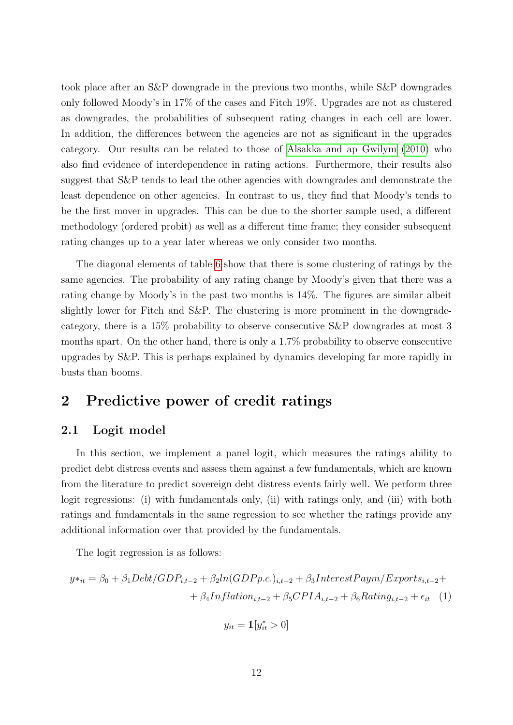took place after an S&P downgrade in the previous two months, while S&P downgrades only followed Moody's in 17% of the cases and Fitch 19%. Upgrades are not as clustered as downgrades, the probabilities of subsequent rating changes in each cell are lower. In addition, the differences between the agencies are not as significant in the upgrades category. Our results can be related to those of [Alsakka and ap Gwilym](#page-31-6) [\(2010\)](#page-31-6) who also find evidence of interdependence in rating actions. Furthermore, their results also suggest that S&P tends to lead the other agencies with downgrades and demonstrate the least dependence on other agencies. In contrast to us, they find that Moody's tends to be the first mover in upgrades. This can be due to the shorter sample used, a different methodology (ordered probit) as well as a different time frame; they consider subsequent rating changes up to a year later whereas we only consider two months.

The diagonal elements of table [6](#page-13-0) show that there is some clustering of ratings by the same agencies. The probability of any rating change by Moody's given that there was a rating change by Moody's in the past two months is 14%. The figures are similar albeit slightly lower for Fitch and S&P. The clustering is more prominent in the downgradecategory, there is a 15% probability to observe consecutive S&P downgrades at most 3 months apart. On the other hand, there is only a 1.7% probability to observe consecutive upgrades by S&P. This is perhaps explained by dynamics developing far more rapidly in busts than booms.

# <span id="page-14-1"></span>2 Predictive power of credit ratings

## <span id="page-14-0"></span>2.1 Logit model

In this section, we implement a panel logit, which measures the ratings ability to predict debt distress events and assess them against a few fundamentals, which are known from the literature to predict sovereign debt distress events fairly well. We perform three logit regressions: (i) with fundamentals only, (ii) with ratings only, and (iii) with both ratings and fundamentals in the same regression to see whether the ratings provide any additional information over that provided by the fundamentals.

The logit regression is as follows:

$$
y*_it = \beta_0 + \beta_1 Debt/GDP_{i,t-2} + \beta_2 ln(GDPp.c.)_{i,t-2} + \beta_3 InterestPaym/Exports_{i,t-2} ++ \beta_4 Inflation_{i,t-2} + \beta_5 CPIA_{i,t-2} + \beta_6 Rating_{i,t-2} + \epsilon_{it} \tag{1}
$$

$$
y_{it} = \mathbb{1}[y_{it}^* > 0]
$$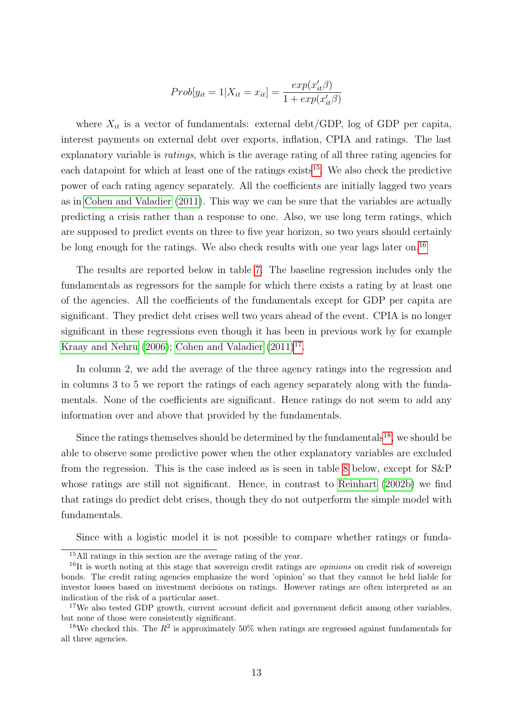$$
Prob[y_{it} = 1 | X_{it} = x_{it}] = \frac{exp(x_{it}'\beta)}{1 + exp(x_{it}'\beta)}
$$

where  $X_{it}$  is a vector of fundamentals: external debt/GDP, log of GDP per capita, interest payments on external debt over exports, inflation, CPIA and ratings. The last explanatory variable is *ratings*, which is the average rating of all three rating agencies for each datapoint for which at least one of the ratings exists<sup>[15](#page-15-0)</sup>. We also check the predictive power of each rating agency separately. All the coefficients are initially lagged two years as in [Cohen and Valadier](#page-32-0) [\(2011\)](#page-32-0). This way we can be sure that the variables are actually predicting a crisis rather than a response to one. Also, we use long term ratings, which are supposed to predict events on three to five year horizon, so two years should certainly be long enough for the ratings. We also check results with one year lags later on.[16](#page-15-1)

The results are reported below in table [7.](#page-16-0) The baseline regression includes only the fundamentals as regressors for the sample for which there exists a rating by at least one of the agencies. All the coefficients of the fundamentals except for GDP per capita are significant. They predict debt crises well two years ahead of the event. CPIA is no longer significant in these regressions even though it has been in previous work by for example [Kraay and Nehru](#page-33-0) [\(2006\)](#page-33-0); [Cohen and Valadier](#page-32-0)  $(2011)^{17}$  $(2011)^{17}$  $(2011)^{17}$  $(2011)^{17}$ .

In column 2, we add the average of the three agency ratings into the regression and in columns 3 to 5 we report the ratings of each agency separately along with the fundamentals. None of the coefficients are significant. Hence ratings do not seem to add any information over and above that provided by the fundamentals.

Since the ratings themselves should be determined by the fundamentals<sup>[18](#page-15-3)</sup>, we should be able to observe some predictive power when the other explanatory variables are excluded from the regression. This is the case indeed as is seen in table [8](#page-16-1) below, except for S&P whose ratings are still not significant. Hence, in contrast to [Reinhart](#page-34-3) [\(2002b\)](#page-34-3) we find that ratings do predict debt crises, though they do not outperform the simple model with fundamentals.

Since with a logistic model it is not possible to compare whether ratings or funda-

<span id="page-15-1"></span><span id="page-15-0"></span><sup>15</sup>All ratings in this section are the average rating of the year.

 $16$ It is worth noting at this stage that sovereign credit ratings are *opinions* on credit risk of sovereign bonds. The credit rating agencies emphasize the word 'opinion' so that they cannot be held liable for investor losses based on investment decisions on ratings. However ratings are often interpreted as an indication of the risk of a particular asset.

<span id="page-15-2"></span><sup>&</sup>lt;sup>17</sup>We also tested GDP growth, current account deficit and government deficit among other variables, but none of those were consistently significant.

<span id="page-15-3"></span><sup>&</sup>lt;sup>18</sup>We checked this. The  $R^2$  is approximately 50% when ratings are regressed against fundamentals for all three agencies.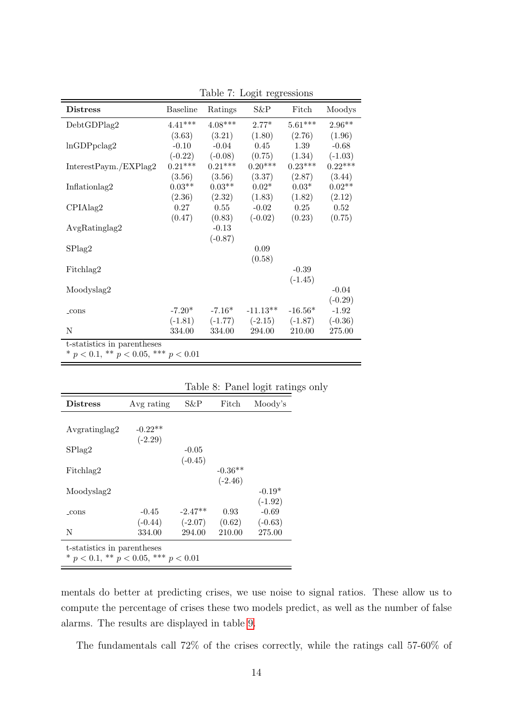| <b>Distress</b>                              | <b>Baseline</b> | Ratings   | $S\&P$     | Fitch     | Moodys            |
|----------------------------------------------|-----------------|-----------|------------|-----------|-------------------|
| DebtGDPlag2                                  | $4.41***$       | $4.08***$ | $2.77*$    | $5.61***$ | $2.96**$          |
|                                              | (3.63)          | (3.21)    | (1.80)     | (2.76)    | (1.96)            |
| ln GDPpclag2                                 | $-0.10$         | $-0.04$   | 0.45       | 1.39      | $-0.68$           |
|                                              | $(-0.22)$       | $(-0.08)$ | (0.75)     | (1.34)    | $(-1.03)$         |
| InterestPayment/EXPlag2                      | $0.21***$       | $0.21***$ | $0.20***$  | $0.23***$ | $0.22***$         |
|                                              | (3.56)          | (3.56)    | (3.37)     | (2.87)    | (3.44)            |
| Inflationlag2                                | $0.03**$        | $0.03**$  | $0.02*$    | $0.03*$   | $0.02^{\ast\ast}$ |
|                                              | (2.36)          | (2.32)    | (1.83)     | (1.82)    | (2.12)            |
| CPIAlag2                                     | 0.27            | 0.55      | $-0.02$    | 0.25      | 0.52              |
|                                              | (0.47)          | (0.83)    | $(-0.02)$  | (0.23)    | (0.75)            |
| AvgRatinglag2                                |                 | $-0.13$   |            |           |                   |
|                                              |                 | $(-0.87)$ |            |           |                   |
| SPlag2                                       |                 |           | 0.09       |           |                   |
|                                              |                 |           | (0.58)     |           |                   |
| Fitchlag2                                    |                 |           |            | $-0.39$   |                   |
|                                              |                 |           |            | $(-1.45)$ |                   |
| Moodyslag2                                   |                 |           |            |           | $-0.04$           |
|                                              |                 |           |            |           | $(-0.29)$         |
| $_{\rm cons}$                                | $-7.20*$        | $-7.16*$  | $-11.13**$ | $-16.56*$ | $-1.92$           |
|                                              | $(-1.81)$       | $(-1.77)$ | $(-2.15)$  | $(-1.87)$ | $(-0.36)$         |
| $\mathbf N$                                  | 334.00          | 334.00    | 294.00     | 210.00    | 275.00            |
| t-statistics in parentheses                  |                 |           |            |           |                   |
| * $p < 0.1$ , ** $p < 0.05$ , *** $p < 0.01$ |                 |           |            |           |                   |

<span id="page-16-0"></span>Table 7: Logit regressions

|                                                                             |            |           |           | Table of T aller togle rading |  |  |  |
|-----------------------------------------------------------------------------|------------|-----------|-----------|-------------------------------|--|--|--|
| <b>Distress</b>                                                             | Avg rating | S&P       | Fitch     | Moody's                       |  |  |  |
|                                                                             |            |           |           |                               |  |  |  |
| Avgratinglag2                                                               | $-0.22**$  |           |           |                               |  |  |  |
|                                                                             | $(-2.29)$  |           |           |                               |  |  |  |
| SPlag2                                                                      |            | $-0.05$   |           |                               |  |  |  |
|                                                                             |            | $(-0.45)$ |           |                               |  |  |  |
| Fitchlag2                                                                   |            |           | $-0.36**$ |                               |  |  |  |
|                                                                             |            |           | $(-2.46)$ |                               |  |  |  |
| Moodyslag2                                                                  |            |           |           | $-0.19*$                      |  |  |  |
|                                                                             |            |           |           | $(-1.92)$                     |  |  |  |
| _cons                                                                       | $-0.45$    | $-2.47**$ | 0.93      | $-0.69$                       |  |  |  |
|                                                                             | $(-0.44)$  | $(-2.07)$ | (0.62)    | $(-0.63)$                     |  |  |  |
| N                                                                           | 334.00     | 294.00    | 210.00    | 275.00                        |  |  |  |
| t-statistics in parentheses<br>* $p < 0.1$ , ** $p < 0.05$ , *** $p < 0.01$ |            |           |           |                               |  |  |  |

<span id="page-16-1"></span>Table 8: Panel logit ratings only

mentals do better at predicting crises, we use noise to signal ratios. These allow us to compute the percentage of crises these two models predict, as well as the number of false alarms. The results are displayed in table [9.](#page-17-0)

The fundamentals call 72% of the crises correctly, while the ratings call 57-60% of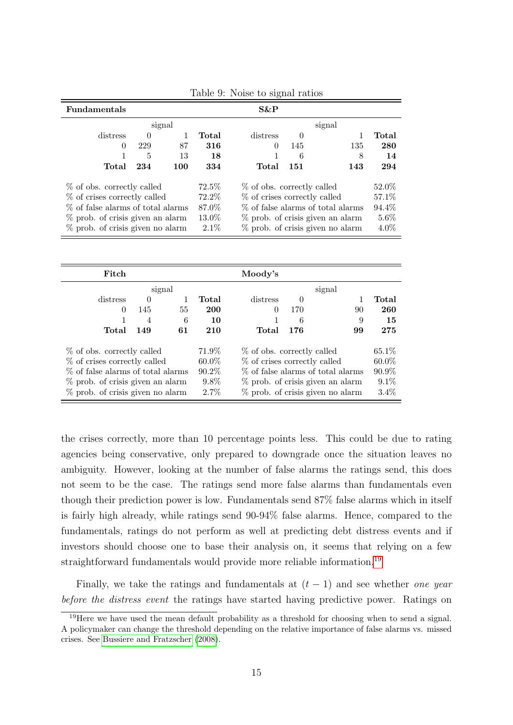| <b>Fundamentals</b>                 |                            |        |         | $S\&P$                             |        |                                    |         |
|-------------------------------------|----------------------------|--------|---------|------------------------------------|--------|------------------------------------|---------|
|                                     |                            | signal |         |                                    |        | signal                             |         |
| distress                            | $\Omega$                   |        | Total   | distress                           |        |                                    | Total   |
| 0                                   | 229                        | 87     | 316     | 0                                  | 145    | 135                                | 280     |
|                                     | 5                          | 13     | 18      | 1                                  | 6      | 8                                  | 14      |
| Total                               | 234                        | 100    | 334     | Total                              | 151    | 143                                | 294     |
|                                     | % of obs. correctly called |        |         | % of obs. correctly called         | 52.0\% |                                    |         |
| % of crises correctly called        |                            |        | 72.2%   | % of crises correctly called       |        |                                    | 57.1\%  |
| % of false alarms of total alarms   |                            |        | 87.0%   | % of false alarms of total alarms  |        |                                    | 94.4%   |
| $\%$ prob. of crisis given an alarm |                            |        | 13.0%   | $%$ prob. of crisis given an alarm |        |                                    | $5.6\%$ |
| $\%$ prob. of crisis given no alarm |                            |        | $2.1\%$ |                                    |        | $%$ prob. of crisis given no alarm | $4.0\%$ |

<span id="page-17-0"></span>Table 9: Noise to signal ratios

| Fitch                               |                |    |          | Moody's                             |          |                                    |          |  |
|-------------------------------------|----------------|----|----------|-------------------------------------|----------|------------------------------------|----------|--|
|                                     | signal         |    |          | signal                              |          |                                    |          |  |
| distress                            | $\theta$       | 1  | Total    | distress                            | $\theta$ |                                    | Total    |  |
| $\Omega$                            | 145            | 55 | 200      | $\theta$                            | 170      | 90                                 | 260      |  |
|                                     | $\overline{4}$ | 6  | 10       | 1                                   | 6        | 9                                  | 15       |  |
| Total                               | 149            | 61 | 210      | Total                               | 176      | 99                                 | 275      |  |
| % of obs. correctly called          |                |    | 71.9%    | % of obs. correctly called          |          |                                    | 65.1\%   |  |
| % of crises correctly called        |                |    | $60.0\%$ | % of crises correctly called        |          |                                    | $60.0\%$ |  |
| % of false alarms of total alarms   |                |    | $90.2\%$ | % of false alarms of total alarms   |          |                                    | $90.9\%$ |  |
| $\%$ prob. of crisis given an alarm |                |    | $9.8\%$  | $\%$ prob. of crisis given an alarm |          |                                    | $9.1\%$  |  |
| $\%$ prob. of crisis given no alarm |                |    | $2.7\%$  |                                     |          | $%$ prob. of crisis given no alarm | 3.4%     |  |

the crises correctly, more than 10 percentage points less. This could be due to rating agencies being conservative, only prepared to downgrade once the situation leaves no ambiguity. However, looking at the number of false alarms the ratings send, this does not seem to be the case. The ratings send more false alarms than fundamentals even though their prediction power is low. Fundamentals send 87% false alarms which in itself is fairly high already, while ratings send 90-94% false alarms. Hence, compared to the fundamentals, ratings do not perform as well at predicting debt distress events and if investors should choose one to base their analysis on, it seems that relying on a few straightforward fundamentals would provide more reliable information.[19](#page-17-1)

Finally, we take the ratings and fundamentals at  $(t-1)$  and see whether one year before the distress event the ratings have started having predictive power. Ratings on

<span id="page-17-1"></span><sup>&</sup>lt;sup>19</sup>Here we have used the mean default probability as a threshold for choosing when to send a signal. A policymaker can change the threshold depending on the relative importance of false alarms vs. missed crises. See [Bussiere and Fratzscher](#page-31-7) [\(2008\)](#page-31-7).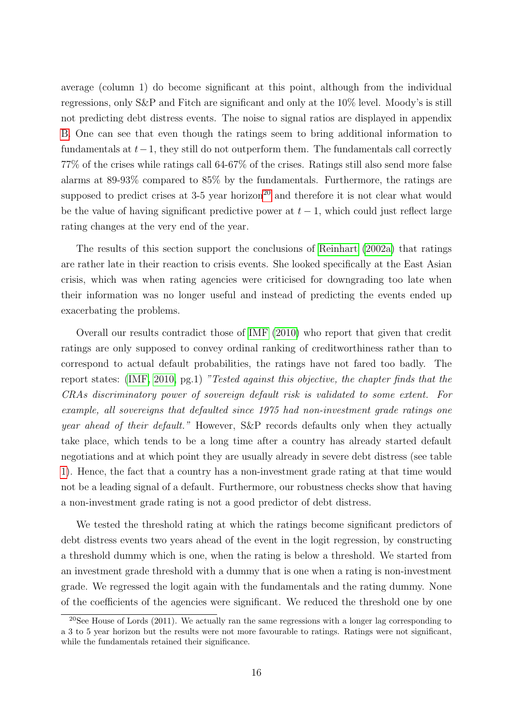average (column 1) do become significant at this point, although from the individual regressions, only S&P and Fitch are significant and only at the 10% level. Moody's is still not predicting debt distress events. The noise to signal ratios are displayed in appendix [B.](#page-38-0) One can see that even though the ratings seem to bring additional information to fundamentals at  $t-1$ , they still do not outperform them. The fundamentals call correctly 77% of the crises while ratings call 64-67% of the crises. Ratings still also send more false alarms at 89-93% compared to 85% by the fundamentals. Furthermore, the ratings are supposed to predict crises at  $3-5$  year horizon<sup>[20](#page-18-0)</sup> and therefore it is not clear what would be the value of having significant predictive power at  $t-1$ , which could just reflect large rating changes at the very end of the year.

The results of this section support the conclusions of [Reinhart](#page-34-0) [\(2002a\)](#page-34-0) that ratings are rather late in their reaction to crisis events. She looked specifically at the East Asian crisis, which was when rating agencies were criticised for downgrading too late when their information was no longer useful and instead of predicting the events ended up exacerbating the problems.

Overall our results contradict those of [IMF](#page-33-1) [\(2010\)](#page-33-1) who report that given that credit ratings are only supposed to convey ordinal ranking of creditworthiness rather than to correspond to actual default probabilities, the ratings have not fared too badly. The report states: [\(IMF, 2010,](#page-33-1) pg.1) "Tested against this objective, the chapter finds that the CRAs discriminatory power of sovereign default risk is validated to some extent. For example, all sovereigns that defaulted since 1975 had non-investment grade ratings one year ahead of their default." However, S&P records defaults only when they actually take place, which tends to be a long time after a country has already started default negotiations and at which point they are usually already in severe debt distress (see table [1\)](#page-10-0). Hence, the fact that a country has a non-investment grade rating at that time would not be a leading signal of a default. Furthermore, our robustness checks show that having a non-investment grade rating is not a good predictor of debt distress.

We tested the threshold rating at which the ratings become significant predictors of debt distress events two years ahead of the event in the logit regression, by constructing a threshold dummy which is one, when the rating is below a threshold. We started from an investment grade threshold with a dummy that is one when a rating is non-investment grade. We regressed the logit again with the fundamentals and the rating dummy. None of the coefficients of the agencies were significant. We reduced the threshold one by one

<span id="page-18-0"></span><sup>&</sup>lt;sup>20</sup>See House of Lords (2011). We actually ran the same regressions with a longer lag corresponding to a 3 to 5 year horizon but the results were not more favourable to ratings. Ratings were not significant, while the fundamentals retained their significance.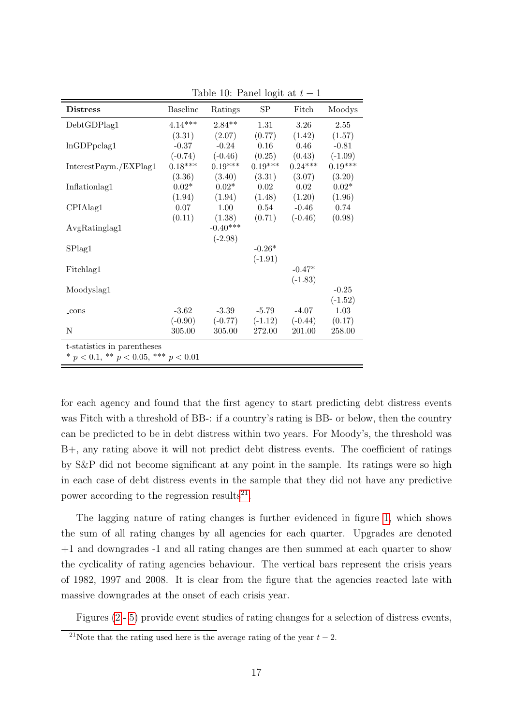| <b>Distress</b>                              | <b>Baseline</b> | Ratings    | SP        | Fitch     | Moodys    |  |  |  |
|----------------------------------------------|-----------------|------------|-----------|-----------|-----------|--|--|--|
| DebtGDPlag1                                  | $4.14***$       | $2.84**$   | 1.31      | 3.26      | 2.55      |  |  |  |
|                                              | (3.31)          | (2.07)     | (0.77)    | (1.42)    | (1.57)    |  |  |  |
| ln GDPpclag1                                 | $-0.37$         | $-0.24$    | 0.16      | 0.46      | $-0.81$   |  |  |  |
|                                              | $(-0.74)$       | $(-0.46)$  | (0.25)    | (0.43)    | $(-1.09)$ |  |  |  |
| InterestPayment/EXPlag1                      | $0.18***$       | $0.19***$  | $0.19***$ | $0.24***$ | $0.19***$ |  |  |  |
|                                              | (3.36)          | (3.40)     | (3.31)    | (3.07)    | (3.20)    |  |  |  |
| Inflationlag1                                | $0.02*$         | $0.02*$    | 0.02      | 0.02      | $0.02*$   |  |  |  |
|                                              | (1.94)          | (1.94)     | (1.48)    | (1.20)    | (1.96)    |  |  |  |
| CPIAlag1                                     | 0.07            | 1.00       | 0.54      | $-0.46$   | 0.74      |  |  |  |
|                                              | (0.11)          | (1.38)     | (0.71)    | $(-0.46)$ | (0.98)    |  |  |  |
| AvgRatinglag1                                |                 | $-0.40***$ |           |           |           |  |  |  |
|                                              |                 | $(-2.98)$  |           |           |           |  |  |  |
| SPlag1                                       |                 |            | $-0.26*$  |           |           |  |  |  |
|                                              |                 |            | $(-1.91)$ |           |           |  |  |  |
| Fitchlag1                                    |                 |            |           | $-0.47*$  |           |  |  |  |
|                                              |                 |            |           | $(-1.83)$ |           |  |  |  |
| Moodyslag1                                   |                 |            |           |           | $-0.25$   |  |  |  |
|                                              |                 |            |           |           | $(-1.52)$ |  |  |  |
| $_{\rm cons}$                                | $-3.62$         | $-3.39$    | $-5.79$   | $-4.07$   | 1.03      |  |  |  |
|                                              | $(-0.90)$       | $(-0.77)$  | $(-1.12)$ | $(-0.44)$ | (0.17)    |  |  |  |
| N                                            | 305.00          | 305.00     | 272.00    | 201.00    | 258.00    |  |  |  |
| t-statistics in parentheses                  |                 |            |           |           |           |  |  |  |
| * $p < 0.1$ , ** $p < 0.05$ , *** $p < 0.01$ |                 |            |           |           |           |  |  |  |

Table 10: Panel logit at  $t-1$ 

for each agency and found that the first agency to start predicting debt distress events was Fitch with a threshold of BB-: if a country's rating is BB- or below, then the country can be predicted to be in debt distress within two years. For Moody's, the threshold was B+, any rating above it will not predict debt distress events. The coefficient of ratings by S&P did not become significant at any point in the sample. Its ratings were so high in each case of debt distress events in the sample that they did not have any predictive power according to the regression results<sup>[21](#page-19-0)</sup>.

The lagging nature of rating changes is further evidenced in figure [1,](#page-20-0) which shows the sum of all rating changes by all agencies for each quarter. Upgrades are denoted +1 and downgrades -1 and all rating changes are then summed at each quarter to show the cyclicality of rating agencies behaviour. The vertical bars represent the crisis years of 1982, 1997 and 2008. It is clear from the figure that the agencies reacted late with massive downgrades at the onset of each crisis year.

Figures [\(2](#page-20-1) - [5\)](#page-20-2) provide event studies of rating changes for a selection of distress events,

<span id="page-19-0"></span><sup>&</sup>lt;sup>21</sup>Note that the rating used here is the average rating of the year  $t - 2$ .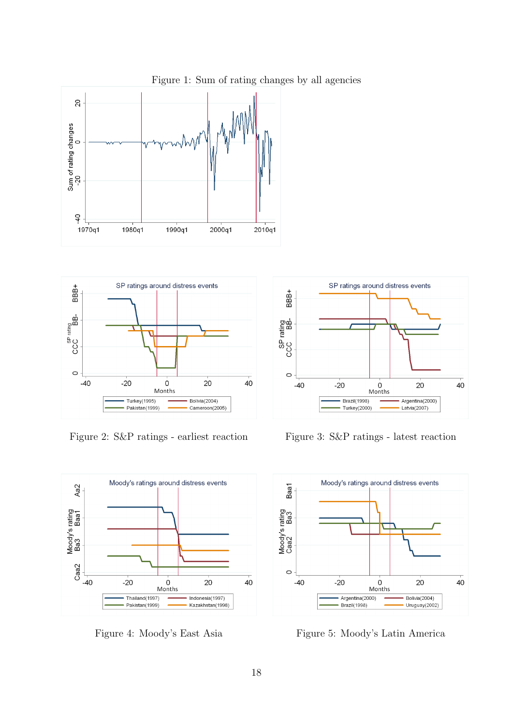

SP ratings around distress events **BBB+** SP rating<br>CCC BB- $\subset$  $-40$  $-20$  $20$  $40$  $\mathsf 0$ Months Turkey(1995) Bolivia(2004) Pakistan(1999) Cameroon(2005)

<span id="page-20-1"></span>



<span id="page-20-3"></span>



Figure 2: S&P ratings - earliest reaction Figure 3: S&P ratings - latest reaction

<span id="page-20-2"></span>

Figure 4: Moody's East Asia Figure 5: Moody's Latin America

<span id="page-20-0"></span>Figure 1: Sum of rating changes by all agencies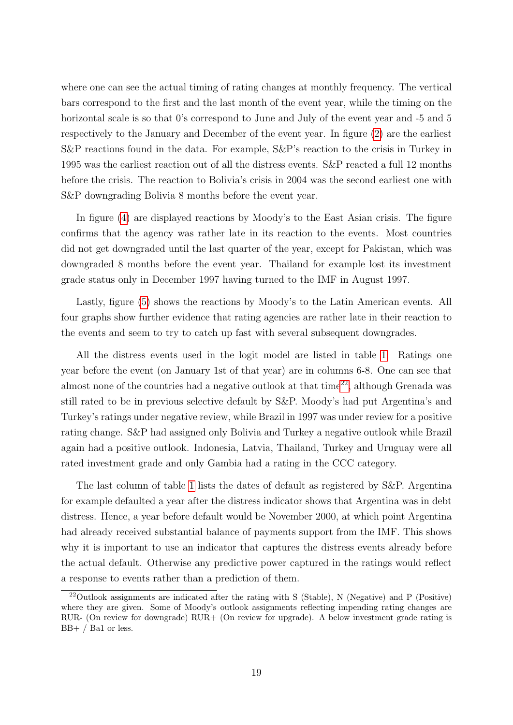where one can see the actual timing of rating changes at monthly frequency. The vertical bars correspond to the first and the last month of the event year, while the timing on the horizontal scale is so that 0's correspond to June and July of the event year and -5 and 5 respectively to the January and December of the event year. In figure [\(2\)](#page-20-1) are the earliest S&P reactions found in the data. For example, S&P's reaction to the crisis in Turkey in 1995 was the earliest reaction out of all the distress events. S&P reacted a full 12 months before the crisis. The reaction to Bolivia's crisis in 2004 was the second earliest one with S&P downgrading Bolivia 8 months before the event year.

In figure [\(4\)](#page-20-3) are displayed reactions by Moody's to the East Asian crisis. The figure confirms that the agency was rather late in its reaction to the events. Most countries did not get downgraded until the last quarter of the year, except for Pakistan, which was downgraded 8 months before the event year. Thailand for example lost its investment grade status only in December 1997 having turned to the IMF in August 1997.

Lastly, figure [\(5\)](#page-20-2) shows the reactions by Moody's to the Latin American events. All four graphs show further evidence that rating agencies are rather late in their reaction to the events and seem to try to catch up fast with several subsequent downgrades.

All the distress events used in the logit model are listed in table [1.](#page-10-0) Ratings one year before the event (on January 1st of that year) are in columns 6-8. One can see that almost none of the countries had a negative outlook at that time<sup>[22](#page-21-0)</sup>, although Grenada was still rated to be in previous selective default by S&P. Moody's had put Argentina's and Turkey's ratings under negative review, while Brazil in 1997 was under review for a positive rating change. S&P had assigned only Bolivia and Turkey a negative outlook while Brazil again had a positive outlook. Indonesia, Latvia, Thailand, Turkey and Uruguay were all rated investment grade and only Gambia had a rating in the CCC category.

The last column of table [1](#page-10-0) lists the dates of default as registered by S&P. Argentina for example defaulted a year after the distress indicator shows that Argentina was in debt distress. Hence, a year before default would be November 2000, at which point Argentina had already received substantial balance of payments support from the IMF. This shows why it is important to use an indicator that captures the distress events already before the actual default. Otherwise any predictive power captured in the ratings would reflect a response to events rather than a prediction of them.

<span id="page-21-0"></span><sup>&</sup>lt;sup>22</sup>Outlook assignments are indicated after the rating with S (Stable), N (Negative) and P (Positive) where they are given. Some of Moody's outlook assignments reflecting impending rating changes are RUR- (On review for downgrade) RUR+ (On review for upgrade). A below investment grade rating is BB+ / Ba1 or less.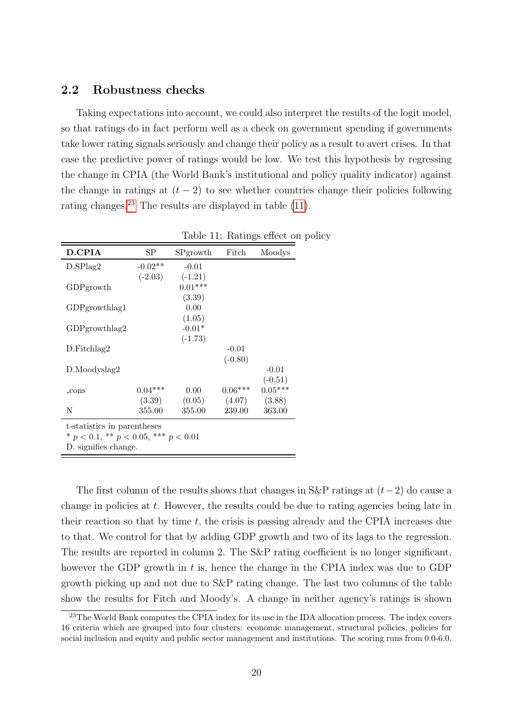#### <span id="page-22-0"></span>2.2 Robustness checks

Taking expectations into account, we could also interpret the results of the logit model, so that ratings do in fact perform well as a check on government spending if governments take lower rating signals seriously and change their policy as a result to avert crises. In that case the predictive power of ratings would be low. We test this hypothesis by regressing the change in CPIA (the World Bank's institutional and policy quality indicator) against the change in ratings at  $(t - 2)$  to see whether countries change their policies following rating changes.[23](#page-22-1) The results are displayed in table [\(11\)](#page-22-2).

| <b>D.CPIA</b>                                | SP        | SPgrowth  | Fitch     | Moodys    |  |  |  |  |
|----------------------------------------------|-----------|-----------|-----------|-----------|--|--|--|--|
| D.SPlag2                                     | $-0.02**$ | $-0.01$   |           |           |  |  |  |  |
|                                              | $(-2.03)$ | $(-1.21)$ |           |           |  |  |  |  |
| GDPgrowth                                    |           | $0.01***$ |           |           |  |  |  |  |
|                                              |           | (3.39)    |           |           |  |  |  |  |
| GDPgrowthlag1                                |           | 0.00      |           |           |  |  |  |  |
|                                              |           | (1.05)    |           |           |  |  |  |  |
| $GDP$ growthlag2                             |           | $-0.01*$  |           |           |  |  |  |  |
|                                              |           | $(-1.73)$ |           |           |  |  |  |  |
| D. Fitchlag2                                 |           |           | $-0.01$   |           |  |  |  |  |
|                                              |           |           | $(-0.80)$ |           |  |  |  |  |
| D.Moodyslag2                                 |           |           |           | $-0.01$   |  |  |  |  |
|                                              |           |           |           | $(-0.51)$ |  |  |  |  |
| $_{\rm -cons}$                               | $0.04***$ | 0.00      | $0.06***$ | $0.05***$ |  |  |  |  |
|                                              | (3.39)    | (0.05)    | (4.07)    | (3.88)    |  |  |  |  |
| N                                            | 355.00    | 355.00    | 239.00    | 363.00    |  |  |  |  |
| t-statistics in parentheses                  |           |           |           |           |  |  |  |  |
| * $p < 0.1$ , ** $p < 0.05$ , *** $p < 0.01$ |           |           |           |           |  |  |  |  |
| D. signifies change.                         |           |           |           |           |  |  |  |  |

<span id="page-22-2"></span>Table 11: Ratings effect on policy

The first column of the results shows that changes in S&P ratings at  $(t-2)$  do cause a change in policies at  $t$ . However, the results could be due to rating agencies being late in their reaction so that by time  $t$ , the crisis is passing already and the CPIA increases due to that. We control for that by adding GDP growth and two of its lags to the regression. The results are reported in column 2. The S&P rating coefficient is no longer significant, however the GDP growth in t is, hence the change in the CPIA index was due to GDP growth picking up and not due to S&P rating change. The last two columns of the table show the results for Fitch and Moody's. A change in neither agency's ratings is shown

<span id="page-22-1"></span><sup>&</sup>lt;sup>23</sup>The World Bank computes the CPIA index for its use in the IDA allocation process. The index covers 16 criteria which are grouped into four clusters: economic management, structural policies, policies for social inclusion and equity and public sector management and institutions. The scoring runs from 0.0-6.0.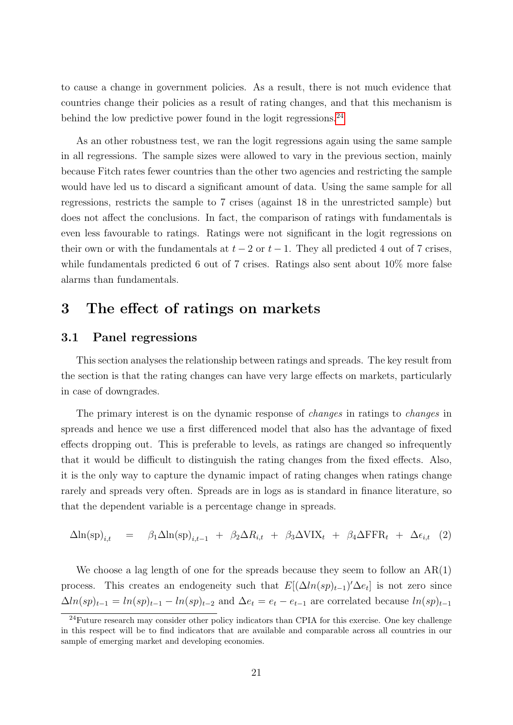to cause a change in government policies. As a result, there is not much evidence that countries change their policies as a result of rating changes, and that this mechanism is behind the low predictive power found in the logit regressions. $^{24}$  $^{24}$  $^{24}$ 

As an other robustness test, we ran the logit regressions again using the same sample in all regressions. The sample sizes were allowed to vary in the previous section, mainly because Fitch rates fewer countries than the other two agencies and restricting the sample would have led us to discard a significant amount of data. Using the same sample for all regressions, restricts the sample to 7 crises (against 18 in the unrestricted sample) but does not affect the conclusions. In fact, the comparison of ratings with fundamentals is even less favourable to ratings. Ratings were not significant in the logit regressions on their own or with the fundamentals at  $t-2$  or  $t-1$ . They all predicted 4 out of 7 crises, while fundamentals predicted 6 out of 7 crises. Ratings also sent about 10% more false alarms than fundamentals.

# <span id="page-23-1"></span>3 The effect of ratings on markets

### <span id="page-23-0"></span>3.1 Panel regressions

This section analyses the relationship between ratings and spreads. The key result from the section is that the rating changes can have very large effects on markets, particularly in case of downgrades.

The primary interest is on the dynamic response of changes in ratings to changes in spreads and hence we use a first differenced model that also has the advantage of fixed effects dropping out. This is preferable to levels, as ratings are changed so infrequently that it would be difficult to distinguish the rating changes from the fixed effects. Also, it is the only way to capture the dynamic impact of rating changes when ratings change rarely and spreads very often. Spreads are in logs as is standard in finance literature, so that the dependent variable is a percentage change in spreads.

<span id="page-23-3"></span>
$$
\Delta \ln(\text{sp})_{i,t} = \beta_1 \Delta \ln(\text{sp})_{i,t-1} + \beta_2 \Delta R_{i,t} + \beta_3 \Delta \text{VIX}_t + \beta_4 \Delta \text{FFR}_t + \Delta \epsilon_{i,t} \quad (2)
$$

We choose a lag length of one for the spreads because they seem to follow an  $AR(1)$ process. This creates an endogeneity such that  $E[(\Delta ln(sp)_{t-1})' \Delta e_t]$  is not zero since  $\Delta ln(sp)_{t-1} = ln(sp)_{t-1} - ln(sp)_{t-2}$  and  $\Delta e_t = e_t - e_{t-1}$  are correlated because  $ln(sp)_{t-1}$ 

<span id="page-23-2"></span> $^{24}$ Future research may consider other policy indicators than CPIA for this exercise. One key challenge in this respect will be to find indicators that are available and comparable across all countries in our sample of emerging market and developing economies.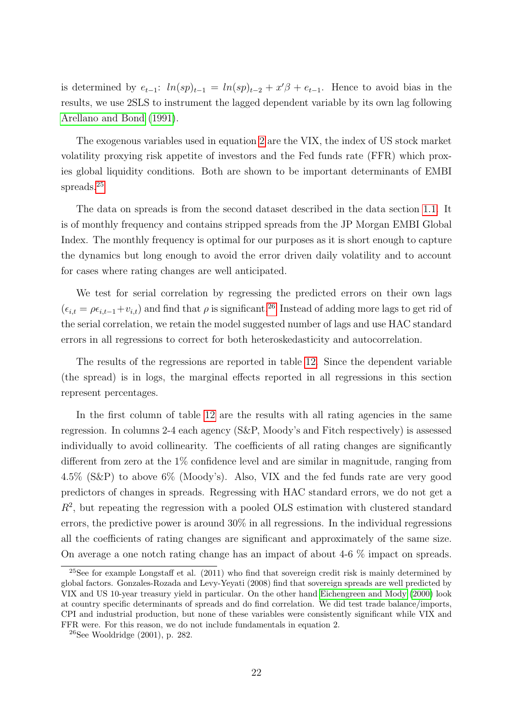is determined by  $e_{t-1}$ :  $ln(sp)_{t-1} = ln(sp)_{t-2} + x'\beta + e_{t-1}$ . Hence to avoid bias in the results, we use 2SLS to instrument the lagged dependent variable by its own lag following [Arellano and Bond](#page-31-8) [\(1991\)](#page-31-8).

The exogenous variables used in equation [2](#page-23-3) are the VIX, the index of US stock market volatility proxying risk appetite of investors and the Fed funds rate (FFR) which proxies global liquidity conditions. Both are shown to be important determinants of EMBI spreads.[25](#page-24-0)

The data on spreads is from the second dataset described in the data section [1.1.](#page-8-1) It is of monthly frequency and contains stripped spreads from the JP Morgan EMBI Global Index. The monthly frequency is optimal for our purposes as it is short enough to capture the dynamics but long enough to avoid the error driven daily volatility and to account for cases where rating changes are well anticipated.

We test for serial correlation by regressing the predicted errors on their own lags  $(\epsilon_{i,t} = \rho \epsilon_{i,t-1} + v_{i,t})$  and find that  $\rho$  is significant.<sup>[26](#page-24-1)</sup> Instead of adding more lags to get rid of the serial correlation, we retain the model suggested number of lags and use HAC standard errors in all regressions to correct for both heteroskedasticity and autocorrelation.

The results of the regressions are reported in table [12.](#page-25-0) Since the dependent variable (the spread) is in logs, the marginal effects reported in all regressions in this section represent percentages.

In the first column of table [12](#page-25-0) are the results with all rating agencies in the same regression. In columns 2-4 each agency (S&P, Moody's and Fitch respectively) is assessed individually to avoid collinearity. The coefficients of all rating changes are significantly different from zero at the 1% confidence level and are similar in magnitude, ranging from 4.5% (S&P) to above 6% (Moody's). Also, VIX and the fed funds rate are very good predictors of changes in spreads. Regressing with HAC standard errors, we do not get a  $R<sup>2</sup>$ , but repeating the regression with a pooled OLS estimation with clustered standard errors, the predictive power is around 30% in all regressions. In the individual regressions all the coefficients of rating changes are significant and approximately of the same size. On average a one notch rating change has an impact of about 4-6 % impact on spreads.

<span id="page-24-0"></span><sup>&</sup>lt;sup>25</sup>See for example Longstaff et al.  $(2011)$  who find that sovereign credit risk is mainly determined by global factors. Gonzales-Rozada and Levy-Yeyati (2008) find that sovereign spreads are well predicted by VIX and US 10-year treasury yield in particular. On the other hand [Eichengreen and Mody](#page-32-7) [\(2000\)](#page-32-7) look at country specific determinants of spreads and do find correlation. We did test trade balance/imports, CPI and industrial production, but none of these variables were consistently significant while VIX and FFR were. For this reason, we do not include fundamentals in equation 2.

<span id="page-24-1"></span> $26$ See Wooldridge  $(2001)$ , p. 282.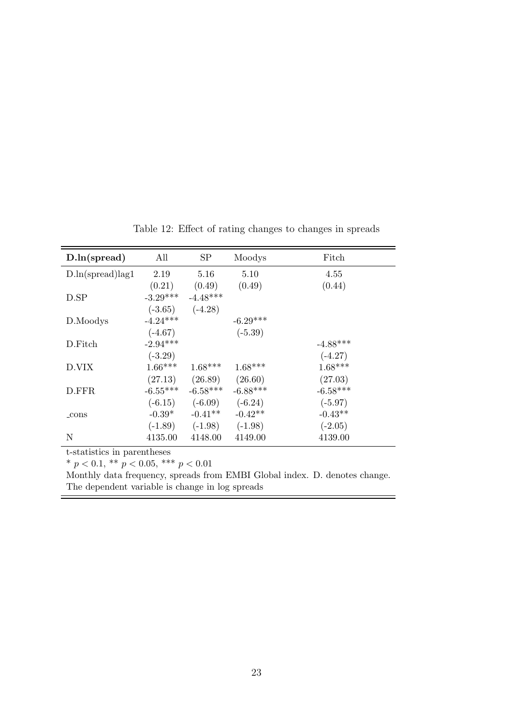| D.ln(spread)               | All        | <b>SP</b>  | Moodys     | Fitch      |
|----------------------------|------------|------------|------------|------------|
| $D\ln(s\text{pred})\log 1$ | 2.19       | 5.16       | 5.10       | 4.55       |
|                            | (0.21)     | (0.49)     | (0.49)     | (0.44)     |
| D.SP                       | $-3.29***$ | $-4.48***$ |            |            |
|                            | $(-3.65)$  | $(-4.28)$  |            |            |
| D.Moodys                   | $-4.24***$ |            | $-6.29***$ |            |
|                            | $(-4.67)$  |            | $(-5.39)$  |            |
| D.Fitch                    | $-2.94***$ |            |            | $-4.88***$ |
|                            | $(-3.29)$  |            |            | $(-4.27)$  |
| D.VIX                      | $1.66***$  | $1.68***$  | $1.68***$  | $1.68***$  |
|                            | (27.13)    | (26.89)    | (26.60)    | (27.03)    |
| D.FFR                      | $-6.55***$ | $-6.58***$ | $-6.88***$ | $-6.58***$ |
|                            | $(-6.15)$  | $(-6.09)$  | $(-6.24)$  | $(-5.97)$  |
| $_{\rm cons}$              | $-0.39*$   | $-0.41**$  | $-0.42**$  | $-0.43**$  |
|                            | $(-1.89)$  | $(-1.98)$  | $(-1.98)$  | $(-2.05)$  |
| $\mathbf N$                | 4135.00    | 4148.00    | 4149.00    | 4139.00    |

<span id="page-25-0"></span>Table 12: Effect of rating changes to changes in spreads

t-statistics in parentheses

\*  $p < 0.1$ , \*\*  $p < 0.05$ , \*\*\*  $p < 0.01$ 

Monthly data frequency, spreads from EMBI Global index. D. denotes change. The dependent variable is change in log spreads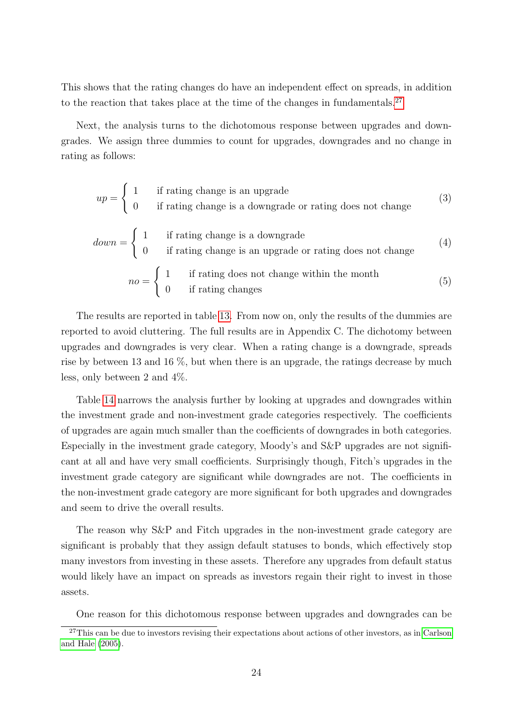This shows that the rating changes do have an independent effect on spreads, in addition to the reaction that takes place at the time of the changes in fundamentals.<sup>[27](#page-26-0)</sup>

Next, the analysis turns to the dichotomous response between upgrades and downgrades. We assign three dummies to count for upgrades, downgrades and no change in rating as follows:

$$
up = \begin{cases} 1 & \text{if rating change is an upgrade} \\ 0 & \text{if rating change is a downgrade or rating does not change} \end{cases} \tag{3}
$$
\n
$$
down = \begin{cases} 1 & \text{if rating change is a downgrade} \\ 0 & \text{if rating change is an upgrade or rating does not change} \end{cases} \tag{4}
$$
\n
$$
no = \begin{cases} 1 & \text{if rating does not change with in the month} \\ 0 & \text{if rating changes} \end{cases} \tag{5}
$$

The results are reported in table [13.](#page-27-0) From now on, only the results of the dummies are reported to avoid cluttering. The full results are in Appendix C. The dichotomy between upgrades and downgrades is very clear. When a rating change is a downgrade, spreads rise by between 13 and 16 %, but when there is an upgrade, the ratings decrease by much less, only between 2 and 4%.

Table [14](#page-27-1) narrows the analysis further by looking at upgrades and downgrades within the investment grade and non-investment grade categories respectively. The coefficients of upgrades are again much smaller than the coefficients of downgrades in both categories. Especially in the investment grade category, Moody's and S&P upgrades are not significant at all and have very small coefficients. Surprisingly though, Fitch's upgrades in the investment grade category are significant while downgrades are not. The coefficients in the non-investment grade category are more significant for both upgrades and downgrades and seem to drive the overall results.

The reason why S&P and Fitch upgrades in the non-investment grade category are significant is probably that they assign default statuses to bonds, which effectively stop many investors from investing in these assets. Therefore any upgrades from default status would likely have an impact on spreads as investors regain their right to invest in those assets.

<span id="page-26-0"></span>One reason for this dichotomous response between upgrades and downgrades can be

<sup>&</sup>lt;sup>27</sup>This can be due to investors revising their expectations about actions of other investors, as in [Carlson](#page-31-1) [and Hale](#page-31-1) [\(2005\)](#page-31-1).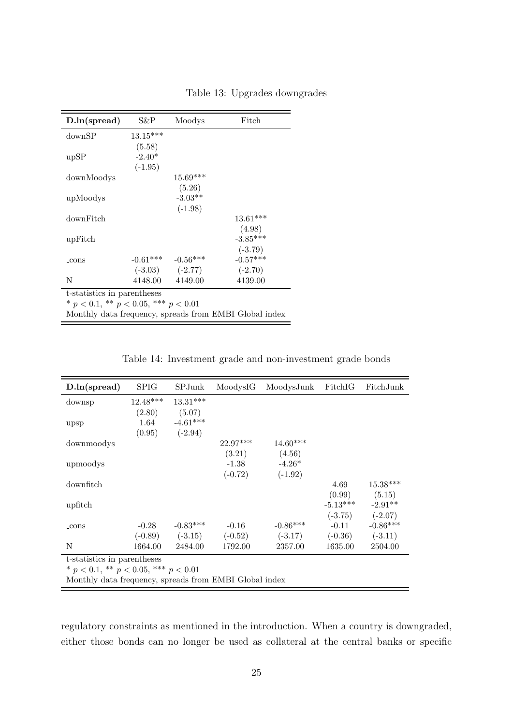| D.ln(spread)                                           | S&P                                          | Moodys              | Fitch      |  |  |  |  |  |
|--------------------------------------------------------|----------------------------------------------|---------------------|------------|--|--|--|--|--|
| downSP                                                 | $13.15***$                                   |                     |            |  |  |  |  |  |
|                                                        | (5.58)                                       |                     |            |  |  |  |  |  |
| upSP                                                   | $-2.40*$                                     |                     |            |  |  |  |  |  |
|                                                        | $(-1.95)$                                    |                     |            |  |  |  |  |  |
| downMoodys                                             |                                              | $15.69***$          |            |  |  |  |  |  |
|                                                        |                                              | (5.26)              |            |  |  |  |  |  |
| upMoodys                                               |                                              | $-3.03**$           |            |  |  |  |  |  |
|                                                        |                                              | $(-1.98)$           |            |  |  |  |  |  |
| downFitch                                              |                                              |                     | $13.61***$ |  |  |  |  |  |
|                                                        |                                              |                     | (4.98)     |  |  |  |  |  |
| upFitch                                                |                                              |                     | $-3.85***$ |  |  |  |  |  |
|                                                        |                                              |                     | $(-3.79)$  |  |  |  |  |  |
| $_{\rm cons}$                                          | $-0.61***$                                   | $-0.56***$          | $-0.57***$ |  |  |  |  |  |
|                                                        |                                              | $(-3.03)$ $(-2.77)$ | $(-2.70)$  |  |  |  |  |  |
| N                                                      | 4148.00                                      | 4149.00             | 4139.00    |  |  |  |  |  |
| t-statistics in parentheses                            |                                              |                     |            |  |  |  |  |  |
|                                                        | * $p < 0.1$ , ** $p < 0.05$ , *** $p < 0.01$ |                     |            |  |  |  |  |  |
| Monthly data frequency, spreads from EMBI Global index |                                              |                     |            |  |  |  |  |  |

<span id="page-27-0"></span>Table 13: Upgrades downgrades

<span id="page-27-1"></span>

|  |  | Table 14: Investment grade and non-investment grade bonds |  |
|--|--|-----------------------------------------------------------|--|
|  |  |                                                           |  |

| D.ln(spread)                                           | <b>SPIG</b> | SPJunk     | MoodysIG   | MoodysJunk | FitchIG    | FitchJunk  |  |  |
|--------------------------------------------------------|-------------|------------|------------|------------|------------|------------|--|--|
| downsp                                                 | $12.48***$  | $13.31***$ |            |            |            |            |  |  |
|                                                        | (2.80)      | (5.07)     |            |            |            |            |  |  |
| upsp                                                   | $1.64\,$    | $-4.61***$ |            |            |            |            |  |  |
|                                                        | (0.95)      | $(-2.94)$  |            |            |            |            |  |  |
| downmoodys                                             |             |            | $22.97***$ | $14.60***$ |            |            |  |  |
|                                                        |             |            | (3.21)     | (4.56)     |            |            |  |  |
| upmoodys                                               |             |            | $-1.38$    | $-4.26*$   |            |            |  |  |
|                                                        |             |            | $(-0.72)$  | $(-1.92)$  |            |            |  |  |
| downfitch                                              |             |            |            |            | 4.69       | $15.38***$ |  |  |
|                                                        |             |            |            |            | (0.99)     | (5.15)     |  |  |
| upfitch                                                |             |            |            |            | $-5.13***$ | $-2.91**$  |  |  |
|                                                        |             |            |            |            | $(-3.75)$  | $(-2.07)$  |  |  |
| $_{\rm cons}$                                          | $-0.28$     | $-0.83***$ | $-0.16$    | $-0.86***$ | $-0.11$    | $-0.86***$ |  |  |
|                                                        | $(-0.89)$   | $(-3.15)$  | $(-0.52)$  | $(-3.17)$  | $(-0.36)$  | $(-3.11)$  |  |  |
| N                                                      | 1664.00     | 2484.00    | 1792.00    | 2357.00    | 1635.00    | 2504.00    |  |  |
| t-statistics in parentheses                            |             |            |            |            |            |            |  |  |
| * $p < 0.1$ , ** $p < 0.05$ , *** $p < 0.01$           |             |            |            |            |            |            |  |  |
| Monthly data frequency, spreads from EMBI Global index |             |            |            |            |            |            |  |  |

regulatory constraints as mentioned in the introduction. When a country is downgraded, either those bonds can no longer be used as collateral at the central banks or specific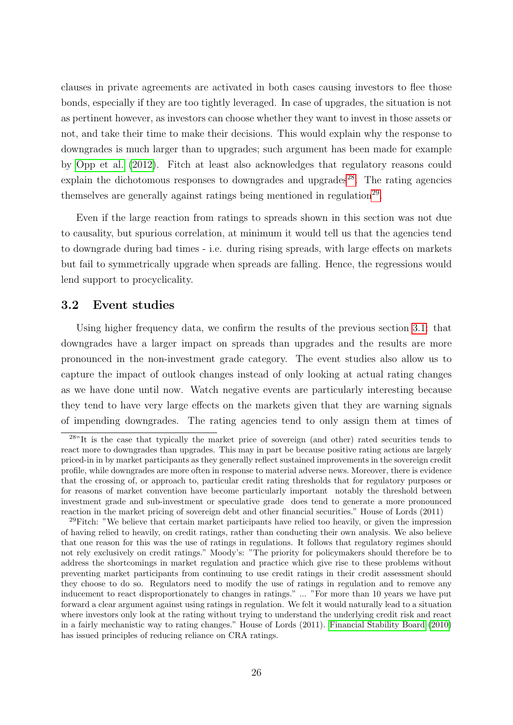clauses in private agreements are activated in both cases causing investors to flee those bonds, especially if they are too tightly leveraged. In case of upgrades, the situation is not as pertinent however, as investors can choose whether they want to invest in those assets or not, and take their time to make their decisions. This would explain why the response to downgrades is much larger than to upgrades; such argument has been made for example by [Opp et al.](#page-34-8) [\(2012\)](#page-34-8). Fitch at least also acknowledges that regulatory reasons could explain the dichotomous responses to downgrades and upgrades<sup>[28](#page-28-1)</sup>. The rating agencies themselves are generally against ratings being mentioned in regulation<sup>[29](#page-28-2)</sup>.

Even if the large reaction from ratings to spreads shown in this section was not due to causality, but spurious correlation, at minimum it would tell us that the agencies tend to downgrade during bad times - i.e. during rising spreads, with large effects on markets but fail to symmetrically upgrade when spreads are falling. Hence, the regressions would lend support to procyclicality.

#### <span id="page-28-0"></span>3.2 Event studies

Using higher frequency data, we confirm the results of the previous section [3.1:](#page-23-0) that downgrades have a larger impact on spreads than upgrades and the results are more pronounced in the non-investment grade category. The event studies also allow us to capture the impact of outlook changes instead of only looking at actual rating changes as we have done until now. Watch negative events are particularly interesting because they tend to have very large effects on the markets given that they are warning signals of impending downgrades. The rating agencies tend to only assign them at times of

<span id="page-28-1"></span> $28"$ It is the case that typically the market price of sovereign (and other) rated securities tends to react more to downgrades than upgrades. This may in part be because positive rating actions are largely priced-in in by market participants as they generally reflect sustained improvements in the sovereign credit profile, while downgrades are more often in response to material adverse news. Moreover, there is evidence that the crossing of, or approach to, particular credit rating thresholds that for regulatory purposes or for reasons of market convention have become particularly important notably the threshold between investment grade and sub-investment or speculative grade does tend to generate a more pronounced reaction in the market pricing of sovereign debt and other financial securities." House of Lords (2011)

<span id="page-28-2"></span> $29$ Fitch: "We believe that certain market participants have relied too heavily, or given the impression of having relied to heavily, on credit ratings, rather than conducting their own analysis. We also believe that one reason for this was the use of ratings in regulations. It follows that regulatory regimes should not rely exclusively on credit ratings." Moody's: "The priority for policymakers should therefore be to address the shortcomings in market regulation and practice which give rise to these problems without preventing market participants from continuing to use credit ratings in their credit assessment should they choose to do so. Regulators need to modify the use of ratings in regulation and to remove any inducement to react disproportionately to changes in ratings." ... "For more than 10 years we have put forward a clear argument against using ratings in regulation. We felt it would naturally lead to a situation where investors only look at the rating without trying to understand the underlying credit risk and react in a fairly mechanistic way to rating changes." House of Lords (2011). [Financial Stability Board](#page-32-8) [\(2010\)](#page-32-8) has issued principles of reducing reliance on CRA ratings.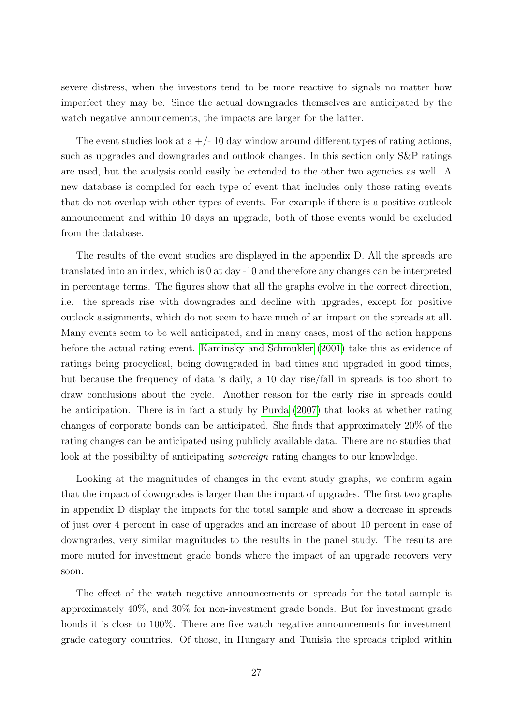severe distress, when the investors tend to be more reactive to signals no matter how imperfect they may be. Since the actual downgrades themselves are anticipated by the watch negative announcements, the impacts are larger for the latter.

The event studies look at  $a + (-10)$  day window around different types of rating actions, such as upgrades and downgrades and outlook changes. In this section only S&P ratings are used, but the analysis could easily be extended to the other two agencies as well. A new database is compiled for each type of event that includes only those rating events that do not overlap with other types of events. For example if there is a positive outlook announcement and within 10 days an upgrade, both of those events would be excluded from the database.

The results of the event studies are displayed in the appendix D. All the spreads are translated into an index, which is 0 at day -10 and therefore any changes can be interpreted in percentage terms. The figures show that all the graphs evolve in the correct direction, i.e. the spreads rise with downgrades and decline with upgrades, except for positive outlook assignments, which do not seem to have much of an impact on the spreads at all. Many events seem to be well anticipated, and in many cases, most of the action happens before the actual rating event. [Kaminsky and Schmukler](#page-33-4) [\(2001\)](#page-33-4) take this as evidence of ratings being procyclical, being downgraded in bad times and upgraded in good times, but because the frequency of data is daily, a 10 day rise/fall in spreads is too short to draw conclusions about the cycle. Another reason for the early rise in spreads could be anticipation. There is in fact a study by [Purda](#page-34-9) [\(2007\)](#page-34-9) that looks at whether rating changes of corporate bonds can be anticipated. She finds that approximately 20% of the rating changes can be anticipated using publicly available data. There are no studies that look at the possibility of anticipating *sovereign* rating changes to our knowledge.

Looking at the magnitudes of changes in the event study graphs, we confirm again that the impact of downgrades is larger than the impact of upgrades. The first two graphs in appendix D display the impacts for the total sample and show a decrease in spreads of just over 4 percent in case of upgrades and an increase of about 10 percent in case of downgrades, very similar magnitudes to the results in the panel study. The results are more muted for investment grade bonds where the impact of an upgrade recovers very soon.

The effect of the watch negative announcements on spreads for the total sample is approximately 40%, and 30% for non-investment grade bonds. But for investment grade bonds it is close to 100%. There are five watch negative announcements for investment grade category countries. Of those, in Hungary and Tunisia the spreads tripled within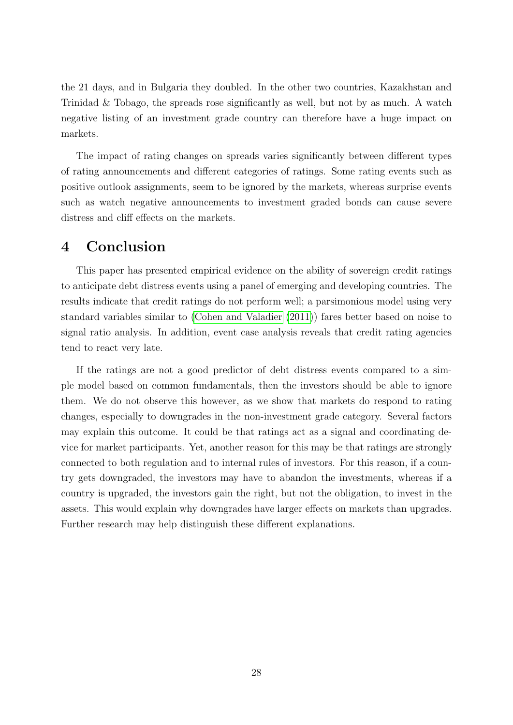the 21 days, and in Bulgaria they doubled. In the other two countries, Kazakhstan and Trinidad & Tobago, the spreads rose significantly as well, but not by as much. A watch negative listing of an investment grade country can therefore have a huge impact on markets.

The impact of rating changes on spreads varies significantly between different types of rating announcements and different categories of ratings. Some rating events such as positive outlook assignments, seem to be ignored by the markets, whereas surprise events such as watch negative announcements to investment graded bonds can cause severe distress and cliff effects on the markets.

# <span id="page-30-0"></span>4 Conclusion

This paper has presented empirical evidence on the ability of sovereign credit ratings to anticipate debt distress events using a panel of emerging and developing countries. The results indicate that credit ratings do not perform well; a parsimonious model using very standard variables similar to [\(Cohen and Valadier](#page-32-0) [\(2011\)](#page-32-0)) fares better based on noise to signal ratio analysis. In addition, event case analysis reveals that credit rating agencies tend to react very late.

If the ratings are not a good predictor of debt distress events compared to a simple model based on common fundamentals, then the investors should be able to ignore them. We do not observe this however, as we show that markets do respond to rating changes, especially to downgrades in the non-investment grade category. Several factors may explain this outcome. It could be that ratings act as a signal and coordinating device for market participants. Yet, another reason for this may be that ratings are strongly connected to both regulation and to internal rules of investors. For this reason, if a country gets downgraded, the investors may have to abandon the investments, whereas if a country is upgraded, the investors gain the right, but not the obligation, to invest in the assets. This would explain why downgrades have larger effects on markets than upgrades. Further research may help distinguish these different explanations.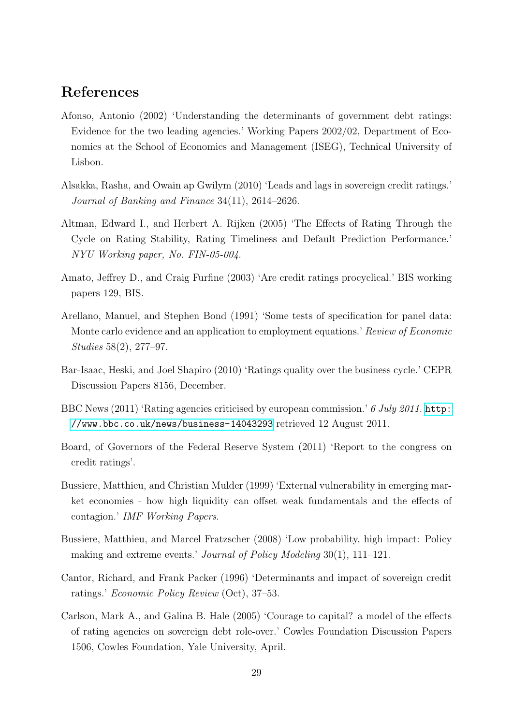# References

- <span id="page-31-2"></span>Afonso, Antonio (2002) 'Understanding the determinants of government debt ratings: Evidence for the two leading agencies.' Working Papers 2002/02, Department of Economics at the School of Economics and Management (ISEG), Technical University of Lisbon.
- <span id="page-31-6"></span>Alsakka, Rasha, and Owain ap Gwilym (2010) 'Leads and lags in sovereign credit ratings.' Journal of Banking and Finance 34(11), 2614–2626.
- Altman, Edward I., and Herbert A. Rijken (2005) 'The Effects of Rating Through the Cycle on Rating Stability, Rating Timeliness and Default Prediction Performance.' NYU Working paper, No. FIN-05-004.
- <span id="page-31-4"></span>Amato, Jeffrey D., and Craig Furfine (2003) 'Are credit ratings procyclical.' BIS working papers 129, BIS.
- <span id="page-31-8"></span>Arellano, Manuel, and Stephen Bond (1991) 'Some tests of specification for panel data: Monte carlo evidence and an application to employment equations.' Review of Economic Studies 58(2), 277–97.
- <span id="page-31-5"></span>Bar-Isaac, Heski, and Joel Shapiro (2010) 'Ratings quality over the business cycle.' CEPR Discussion Papers 8156, December.
- BBC News (2011) 'Rating agencies criticised by european commission.' 6 July 2011. [http:](http://www.bbc.co.uk/news/business-14043293) [//www.bbc.co.uk/news/business-14043293](http://www.bbc.co.uk/news/business-14043293) retrieved 12 August 2011.
- Board, of Governors of the Federal Reserve System (2011) 'Report to the congress on credit ratings'.
- <span id="page-31-0"></span>Bussiere, Matthieu, and Christian Mulder (1999) 'External vulnerability in emerging market economies - how high liquidity can offset weak fundamentals and the effects of contagion.' IMF Working Papers.
- <span id="page-31-7"></span>Bussiere, Matthieu, and Marcel Fratzscher (2008) 'Low probability, high impact: Policy making and extreme events.' Journal of Policy Modeling 30(1), 111–121.
- <span id="page-31-3"></span>Cantor, Richard, and Frank Packer (1996) 'Determinants and impact of sovereign credit ratings.' Economic Policy Review (Oct), 37–53.
- <span id="page-31-1"></span>Carlson, Mark A., and Galina B. Hale (2005) 'Courage to capital? a model of the effects of rating agencies on sovereign debt role-over.' Cowles Foundation Discussion Papers 1506, Cowles Foundation, Yale University, April.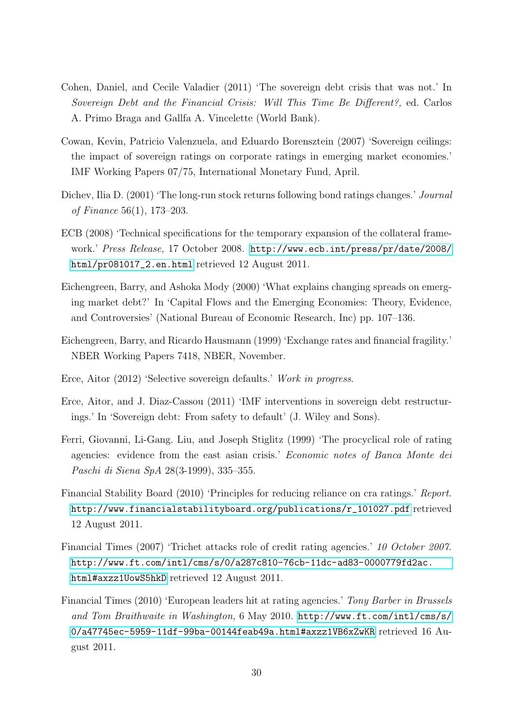- <span id="page-32-0"></span>Cohen, Daniel, and Cecile Valadier (2011) 'The sovereign debt crisis that was not.' In Sovereign Debt and the Financial Crisis: Will This Time Be Different?, ed. Carlos A. Primo Braga and Gallfa A. Vincelette (World Bank).
- <span id="page-32-1"></span>Cowan, Kevin, Patricio Valenzuela, and Eduardo Borensztein (2007) 'Sovereign ceilings: the impact of sovereign ratings on corporate ratings in emerging market economies.' IMF Working Papers 07/75, International Monetary Fund, April.
- <span id="page-32-2"></span>Dichev, Ilia D. (2001) 'The long-run stock returns following bond ratings changes.' Journal of Finance 56(1), 173–203.
- ECB (2008) 'Technical specifications for the temporary expansion of the collateral framework.' Press Release, 17 October 2008. [http://www.ecb.int/press/pr/date/2008/](http://www.ecb.int/press/pr/date/2008/html/pr081017_2.en.html) [html/pr081017\\_2.en.html](http://www.ecb.int/press/pr/date/2008/html/pr081017_2.en.html) retrieved 12 August 2011.
- <span id="page-32-7"></span>Eichengreen, Barry, and Ashoka Mody (2000) 'What explains changing spreads on emerging market debt?' In 'Capital Flows and the Emerging Economies: Theory, Evidence, and Controversies' (National Bureau of Economic Research, Inc) pp. 107–136.
- <span id="page-32-6"></span>Eichengreen, Barry, and Ricardo Hausmann (1999) 'Exchange rates and financial fragility.' NBER Working Papers 7418, NBER, November.
- <span id="page-32-5"></span>Erce, Aitor (2012) 'Selective sovereign defaults.' Work in progress.
- <span id="page-32-4"></span>Erce, Aitor, and J. Diaz-Cassou (2011) 'IMF interventions in sovereign debt restructurings.' In 'Sovereign debt: From safety to default' (J. Wiley and Sons).
- <span id="page-32-3"></span>Ferri, Giovanni, Li-Gang. Liu, and Joseph Stiglitz (1999) 'The procyclical role of rating agencies: evidence from the east asian crisis.' Economic notes of Banca Monte dei Paschi di Siena SpA 28(3-1999), 335–355.
- <span id="page-32-8"></span>Financial Stability Board (2010) 'Principles for reducing reliance on cra ratings.' Report. [http://www.financialstabilityboard.org/publications/r\\_101027.pdf](http://www.financialstabilityboard.org/publications/r_101027.pdf) retrieved 12 August 2011.
- Financial Times (2007) 'Trichet attacks role of credit rating agencies.' 10 October 2007. [http://www.ft.com/intl/cms/s/0/a287c810-76cb-11dc-ad83-0000779fd2ac.](http://www.ft.com/intl/cms/s/0/a287c810-76cb-11dc-ad83-0000779fd2ac.html#axzz1UowS5hkD) [html#axzz1UowS5hkD](http://www.ft.com/intl/cms/s/0/a287c810-76cb-11dc-ad83-0000779fd2ac.html#axzz1UowS5hkD) retrieved 12 August 2011.
- Financial Times (2010) 'European leaders hit at rating agencies.' Tony Barber in Brussels and Tom Braithwaite in Washington, 6 May 2010. [http://www.ft.com/intl/cms/s/](http://www.ft.com/intl/cms/s/0/a47745ec-5959-11df-99ba-00144feab49a.html#axzz1VB6xZwKR) [0/a47745ec-5959-11df-99ba-00144feab49a.html#axzz1VB6xZwKR](http://www.ft.com/intl/cms/s/0/a47745ec-5959-11df-99ba-00144feab49a.html#axzz1VB6xZwKR) retrieved 16 August 2011.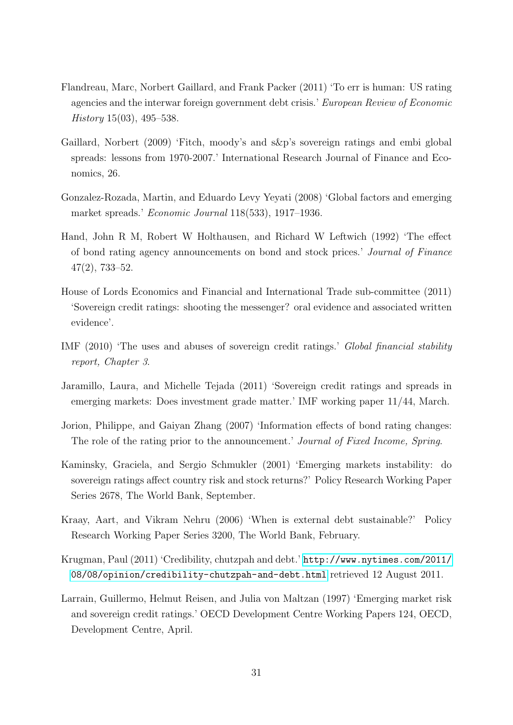- <span id="page-33-2"></span>Flandreau, Marc, Norbert Gaillard, and Frank Packer (2011) 'To err is human: US rating agencies and the interwar foreign government debt crisis.' European Review of Economic  $History 15(03), 495-538.$
- <span id="page-33-8"></span>Gaillard, Norbert (2009) 'Fitch, moody's and s&p's sovereign ratings and embi global spreads: lessons from 1970-2007.' International Research Journal of Finance and Economics, 26.
- Gonzalez-Rozada, Martin, and Eduardo Levy Yeyati (2008) 'Global factors and emerging market spreads.' Economic Journal 118(533), 1917–1936.
- <span id="page-33-6"></span>Hand, John R M, Robert W Holthausen, and Richard W Leftwich (1992) 'The effect of bond rating agency announcements on bond and stock prices.' Journal of Finance 47(2), 733–52.
- House of Lords Economics and Financial and International Trade sub-committee (2011) 'Sovereign credit ratings: shooting the messenger? oral evidence and associated written evidence'.
- <span id="page-33-1"></span>IMF (2010) 'The uses and abuses of sovereign credit ratings.' Global financial stability report, Chapter 3.
- <span id="page-33-3"></span>Jaramillo, Laura, and Michelle Tejada (2011) 'Sovereign credit ratings and spreads in emerging markets: Does investment grade matter.' IMF working paper 11/44, March.
- <span id="page-33-7"></span>Jorion, Philippe, and Gaiyan Zhang (2007) 'Information effects of bond rating changes: The role of the rating prior to the announcement.' Journal of Fixed Income, Spring.
- <span id="page-33-4"></span>Kaminsky, Graciela, and Sergio Schmukler (2001) 'Emerging markets instability: do sovereign ratings affect country risk and stock returns?' Policy Research Working Paper Series 2678, The World Bank, September.
- <span id="page-33-0"></span>Kraay, Aart, and Vikram Nehru (2006) 'When is external debt sustainable?' Policy Research Working Paper Series 3200, The World Bank, February.
- Krugman, Paul (2011) 'Credibility, chutzpah and debt.' [http://www.nytimes.com/2011/](http://www.nytimes.com/2011/08/08/opinion/credibility-chutzpah-and-debt.html) [08/08/opinion/credibility-chutzpah-and-debt.html](http://www.nytimes.com/2011/08/08/opinion/credibility-chutzpah-and-debt.html) retrieved 12 August 2011.
- <span id="page-33-5"></span>Larrain, Guillermo, Helmut Reisen, and Julia von Maltzan (1997) 'Emerging market risk and sovereign credit ratings.' OECD Development Centre Working Papers 124, OECD, Development Centre, April.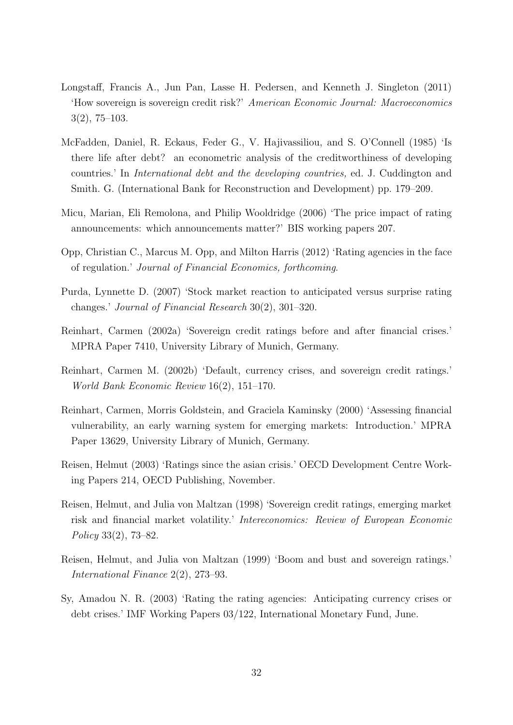- Longstaff, Francis A., Jun Pan, Lasse H. Pedersen, and Kenneth J. Singleton (2011) 'How sovereign is sovereign credit risk?' American Economic Journal: Macroeconomics 3(2), 75–103.
- <span id="page-34-2"></span>McFadden, Daniel, R. Eckaus, Feder G., V. Hajivassiliou, and S. O'Connell (1985) 'Is there life after debt? an econometric analysis of the creditworthiness of developing countries.' In International debt and the developing countries, ed. J. Cuddington and Smith. G. (International Bank for Reconstruction and Development) pp. 179–209.
- <span id="page-34-6"></span>Micu, Marian, Eli Remolona, and Philip Wooldridge (2006) 'The price impact of rating announcements: which announcements matter?' BIS working papers 207.
- <span id="page-34-8"></span>Opp, Christian C., Marcus M. Opp, and Milton Harris (2012) 'Rating agencies in the face of regulation.' Journal of Financial Economics, forthcoming.
- <span id="page-34-9"></span>Purda, Lynnette D. (2007) 'Stock market reaction to anticipated versus surprise rating changes.' Journal of Financial Research 30(2), 301–320.
- <span id="page-34-0"></span>Reinhart, Carmen (2002a) 'Sovereign credit ratings before and after financial crises.' MPRA Paper 7410, University Library of Munich, Germany.
- <span id="page-34-3"></span>Reinhart, Carmen M. (2002b) 'Default, currency crises, and sovereign credit ratings.' World Bank Economic Review 16(2), 151–170.
- <span id="page-34-1"></span>Reinhart, Carmen, Morris Goldstein, and Graciela Kaminsky (2000) 'Assessing financial vulnerability, an early warning system for emerging markets: Introduction.' MPRA Paper 13629, University Library of Munich, Germany.
- Reisen, Helmut (2003) 'Ratings since the asian crisis.' OECD Development Centre Working Papers 214, OECD Publishing, November.
- <span id="page-34-5"></span>Reisen, Helmut, and Julia von Maltzan (1998) 'Sovereign credit ratings, emerging market risk and financial market volatility.' Intereconomics: Review of European Economic Policy 33(2), 73–82.
- <span id="page-34-7"></span>Reisen, Helmut, and Julia von Maltzan (1999) 'Boom and bust and sovereign ratings.' International Finance 2(2), 273–93.
- <span id="page-34-4"></span>Sy, Amadou N. R. (2003) 'Rating the rating agencies: Anticipating currency crises or debt crises.' IMF Working Papers 03/122, International Monetary Fund, June.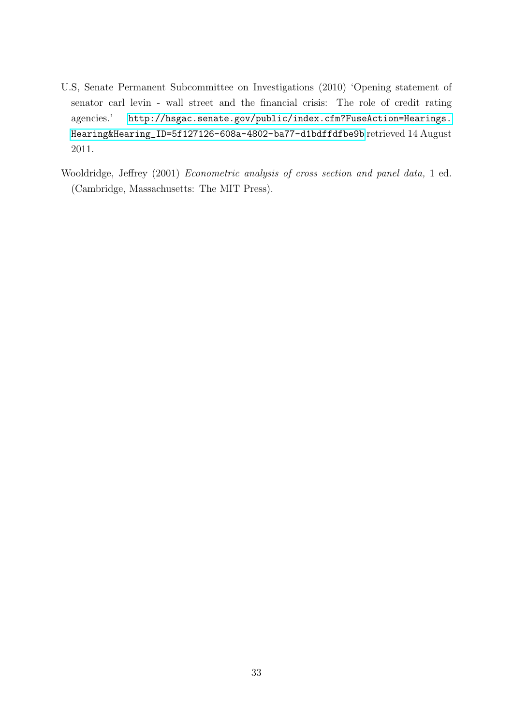- U.S, Senate Permanent Subcommittee on Investigations (2010) 'Opening statement of senator carl levin - wall street and the financial crisis: The role of credit rating agencies.' [http://hsgac.senate.gov/public/index.cfm?FuseAction=Hearings.](http://hsgac.senate.gov/public/index.cfm?FuseAction=Hearings.Hearing&Hearing_ID=5f127126-608a-4802-ba77-d1bdffdfbe9b) [Hearing&Hearing\\_ID=5f127126-608a-4802-ba77-d1bdffdfbe9b](http://hsgac.senate.gov/public/index.cfm?FuseAction=Hearings.Hearing&Hearing_ID=5f127126-608a-4802-ba77-d1bdffdfbe9b) retrieved 14 August 2011.
- Wooldridge, Jeffrey (2001) Econometric analysis of cross section and panel data, 1 ed. (Cambridge, Massachusetts: The MIT Press).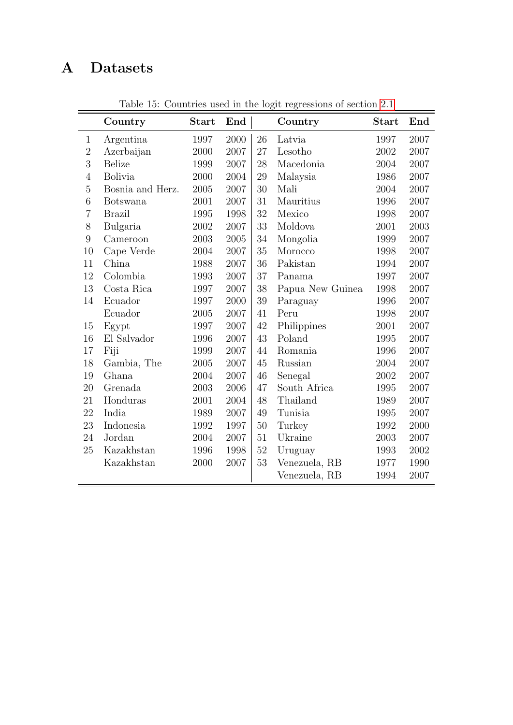# <span id="page-36-0"></span>A Datasets

|                  | Country          | <b>Start</b> | End  |    | Country          | <b>Start</b> | End  |
|------------------|------------------|--------------|------|----|------------------|--------------|------|
| $\mathbf{1}$     | Argentina        | 1997         | 2000 | 26 | Latvia           | 1997         | 2007 |
| $\overline{2}$   | Azerbaijan       | 2000         | 2007 | 27 | Lesotho          | 2002         | 2007 |
| 3                | <b>Belize</b>    | 1999         | 2007 | 28 | Macedonia        | 2004         | 2007 |
| $\overline{4}$   | Bolivia          | 2000         | 2004 | 29 | Malaysia         | 1986         | 2007 |
| $\overline{5}$   | Bosnia and Herz. | 2005         | 2007 | 30 | Mali             | 2004         | 2007 |
| $\boldsymbol{6}$ | Botswana         | 2001         | 2007 | 31 | Mauritius        | 1996         | 2007 |
| $\overline{7}$   | <b>Brazil</b>    | 1995         | 1998 | 32 | Mexico           | 1998         | 2007 |
| 8                | Bulgaria         | 2002         | 2007 | 33 | Moldova          | 2001         | 2003 |
| $\overline{9}$   | Cameroon         | 2003         | 2005 | 34 | Mongolia         | 1999         | 2007 |
| 10               | Cape Verde       | 2004         | 2007 | 35 | Morocco          | 1998         | 2007 |
| 11               | China            | 1988         | 2007 | 36 | Pakistan         | 1994         | 2007 |
| 12               | Colombia         | 1993         | 2007 | 37 | Panama           | 1997         | 2007 |
| 13               | Costa Rica       | 1997         | 2007 | 38 | Papua New Guinea | 1998         | 2007 |
| 14               | Ecuador          | 1997         | 2000 | 39 | Paraguay         | 1996         | 2007 |
|                  | Ecuador          | 2005         | 2007 | 41 | Peru             | 1998         | 2007 |
| 15               | Egypt            | 1997         | 2007 | 42 | Philippines      | 2001         | 2007 |
| 16               | El Salvador      | 1996         | 2007 | 43 | Poland           | 1995         | 2007 |
| 17               | Fiji             | 1999         | 2007 | 44 | Romania          | 1996         | 2007 |
| 18               | Gambia, The      | 2005         | 2007 | 45 | Russian          | 2004         | 2007 |
| 19               | Ghana            | 2004         | 2007 | 46 | Senegal          | 2002         | 2007 |
| 20               | Grenada          | 2003         | 2006 | 47 | South Africa     | 1995         | 2007 |
| 21               | Honduras         | 2001         | 2004 | 48 | Thailand         | 1989         | 2007 |
| 22               | India            | 1989         | 2007 | 49 | Tunisia          | 1995         | 2007 |
| 23               | Indonesia        | 1992         | 1997 | 50 | Turkey           | 1992         | 2000 |
| 24               | Jordan           | 2004         | 2007 | 51 | Ukraine          | 2003         | 2007 |
| 25               | Kazakhstan       | 1996         | 1998 | 52 | Uruguay          | 1993         | 2002 |
|                  | Kazakhstan       | 2000         | 2007 | 53 | Venezuela, RB    | 1977         | 1990 |
|                  |                  |              |      |    | Venezuela, RB    | 1994         | 2007 |

Table 15: Countries used in the logit regressions of section [2.1](#page-14-0)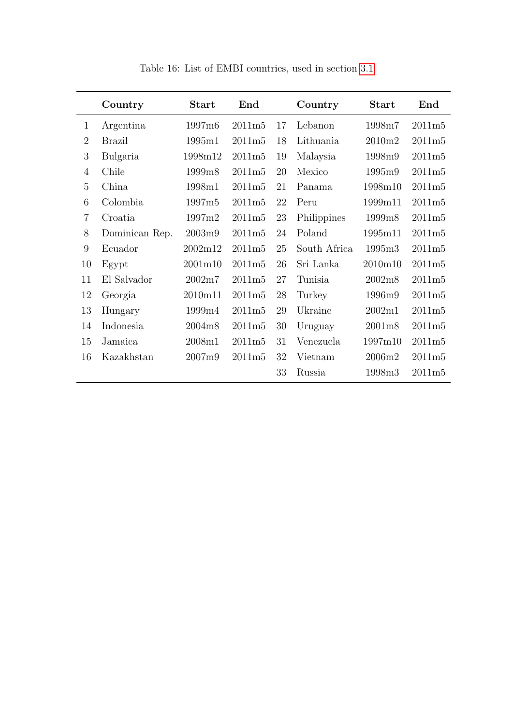|                | Country        | <b>Start</b> | End    |    | Country      | <b>Start</b>       | End    |
|----------------|----------------|--------------|--------|----|--------------|--------------------|--------|
| $\mathbf{1}$   | Argentina      | 1997m6       | 2011m5 | 17 | Lebanon      | 1998m7             | 2011m5 |
| $\overline{2}$ | <b>Brazil</b>  | 1995m1       | 2011m5 | 18 | Lithuania    | 2010m2             | 2011m5 |
| 3              | Bulgaria       | 1998m12      | 2011m5 | 19 | Malaysia     | 1998m9             | 2011m5 |
| $\overline{4}$ | Chile          | 1999m8       | 2011m5 | 20 | Mexico       | 1995m9             | 2011m5 |
| $\overline{5}$ | China          | 1998m1       | 2011m5 | 21 | Panama       | 1998m10            | 2011m5 |
| 6              | Colombia       | 1997m5       | 2011m5 | 22 | Peru         | 1999m11            | 2011m5 |
| $\overline{7}$ | Croatia        | 1997m2       | 2011m5 | 23 | Philippines  | 1999m8             | 2011m5 |
| 8              | Dominican Rep. | 2003m9       | 2011m5 | 24 | Poland       | 1995m11            | 2011m5 |
| 9              | Ecuador        | 2002m12      | 2011m5 | 25 | South Africa | 1995m <sub>3</sub> | 2011m5 |
| 10             | Egypt          | 2001m10      | 2011m5 | 26 | Sri Lanka    | 2010m10            | 2011m5 |
| 11             | El Salvador    | 2002m7       | 2011m5 | 27 | Tunisia      | 2002m8             | 2011m5 |
| 12             | Georgia        | 2010m11      | 2011m5 | 28 | Turkey       | 1996m9             | 2011m5 |
| 13             | Hungary        | 1999m4       | 2011m5 | 29 | Ukraine      | 2002m1             | 2011m5 |
| 14             | Indonesia      | 2004m8       | 2011m5 | 30 | Uruguay      | 2001m8             | 2011m5 |
| 15             | Jamaica        | 2008m1       | 2011m5 | 31 | Venezuela    | 1997m10            | 2011m5 |
| 16             | Kazakhstan     | 2007m9       | 2011m5 | 32 | Vietnam      | 2006m2             | 2011m5 |
|                |                |              |        | 33 | Russia       | 1998m3             | 2011m5 |

Table 16: List of EMBI countries, used in section [3.1](#page-23-0)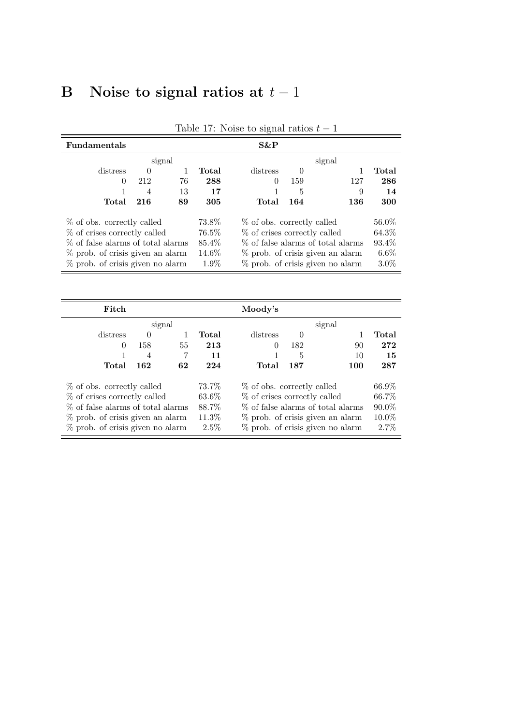# <span id="page-38-0"></span>B Noise to signal ratios at  $t-1$

| <b>Fundamentals</b>                 |          |    |          | $S\&P$                            |        |                                     |         |  |
|-------------------------------------|----------|----|----------|-----------------------------------|--------|-------------------------------------|---------|--|
|                                     | signal   |    |          |                                   | signal |                                     |         |  |
| distress                            | $\theta$ |    | Total    | distress                          |        |                                     | Total   |  |
| 0                                   | 212      | 76 | 288      | $\Omega$                          | 159    | 127                                 | 286     |  |
|                                     | 4        | 13 | 17       | 1                                 | 5      | 9                                   | 14      |  |
| Total                               | 216      | 89 | 305      | Total                             | 164    | 136                                 | 300     |  |
| % of obs. correctly called          |          |    | 73.8%    | % of obs. correctly called        | 56.0%  |                                     |         |  |
| % of crises correctly called        |          |    | $76.5\%$ | % of crises correctly called      | 64.3%  |                                     |         |  |
| % of false alarms of total alarms   |          |    | 85.4%    | % of false alarms of total alarms | 93.4\% |                                     |         |  |
| % prob. of crisis given an alarm    |          |    | $14.6\%$ | % prob. of crisis given an alarm  |        |                                     |         |  |
| $\%$ prob. of crisis given no alarm |          |    | 1.9%     |                                   |        | $\%$ prob. of crisis given no alarm | $3.0\%$ |  |

Table 17: Noise to signal ratios  $t-1$ 

| Fitch                               |          | Moody's |          |                                     |          |                                     |          |
|-------------------------------------|----------|---------|----------|-------------------------------------|----------|-------------------------------------|----------|
| signal                              |          |         |          |                                     |          | signal                              |          |
| distress                            | $\Omega$ |         | Total    | distress                            | $\Omega$ |                                     | Total    |
| $\theta$                            | 158      | 55      | 213      | $\Omega$                            | 182      | 90                                  | 272      |
|                                     | 4        | 7       | 11       |                                     | 5        | 10                                  | 15       |
| Total                               | 162      | 62      | 224      | Total                               | 187      | 100                                 | 287      |
| % of obs. correctly called          |          |         | 73.7%    | % of obs. correctly called          | 66.9%    |                                     |          |
| % of crises correctly called        |          |         | $63.6\%$ | % of crises correctly called        | 66.7%    |                                     |          |
| % of false alarms of total alarms   |          |         | 88.7%    | % of false alarms of total alarms   | $90.0\%$ |                                     |          |
| % prob. of crisis given an alarm    |          |         | 11.3%    | $\%$ prob. of crisis given an alarm |          |                                     | $10.0\%$ |
| $\%$ prob. of crisis given no alarm |          |         | $2.5\%$  |                                     |          | $\%$ prob. of crisis given no alarm | 2.7%     |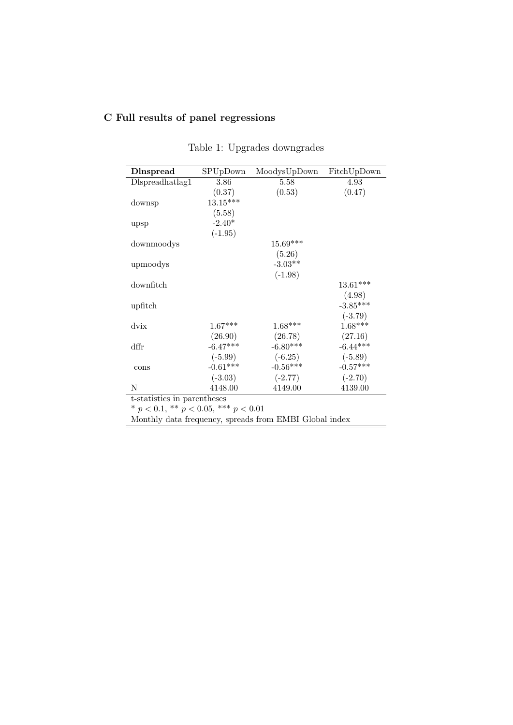## C Full results of panel regressions

| <b>D</b> Inspread | SPUpDown   | MoodysUpDown | FitchUpDown |
|-------------------|------------|--------------|-------------|
| Dlspreadhatlag1   | 3.86       | 5.58         | 4.93        |
|                   | (0.37)     | (0.53)       | (0.47)      |
| downsp            | $13.15***$ |              |             |
|                   | (5.58)     |              |             |
| upsp              | $-2.40*$   |              |             |
|                   | $(-1.95)$  |              |             |
| downmoodys        |            | 15.69***     |             |
|                   |            | (5.26)       |             |
| upmoodys          |            | $-3.03**$    |             |
|                   |            | $(-1.98)$    |             |
| downfitch         |            |              | $13.61***$  |
|                   |            |              | (4.98)      |
| upfitch           |            |              | $-3.85***$  |
|                   |            |              | $(-3.79)$   |
| dvix              | $1.67***$  | $1.68***$    | $1.68***$   |
|                   | (26.90)    | (26.78)      | (27.16)     |
| dffr              | $-6.47***$ | $-6.80***$   | $-6.44***$  |
|                   | $(-5.99)$  | $(-6.25)$    | $(-5.89)$   |
| _cons             | $-0.61***$ | $-0.56***$   | $-0.57***$  |
|                   | $(-3.03)$  | $(-2.77)$    | $(-2.70)$   |
| Ν                 | 4148.00    | 4149.00      | 4139.00     |

| Table 1: Upgrades downgrades |
|------------------------------|
|------------------------------|

t-statistics in parentheses

\*  $p < 0.1$ , \*\*  $p < 0.05$ , \*\*\*  $p < 0.01$ 

Monthly data frequency, spreads from EMBI Global index

 $\overline{\phantom{a}}$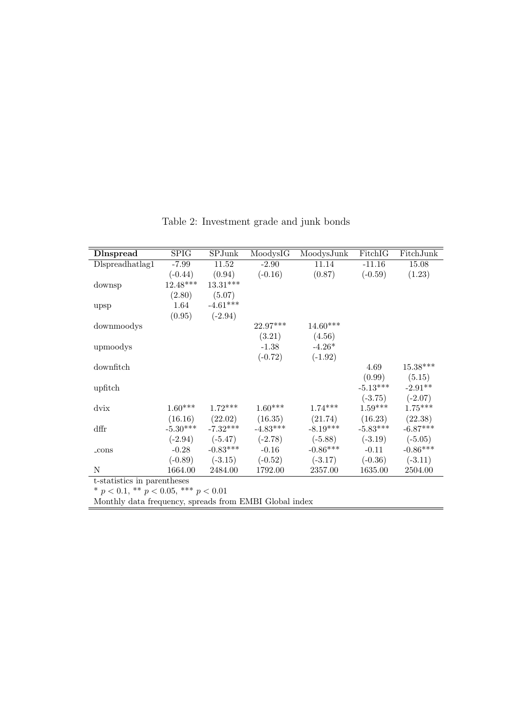| <b>D</b> Inspread           | SPIG       | SPJunk     | MoodysIG   | MoodysJunk | FitchIG    | FitchJunk  |
|-----------------------------|------------|------------|------------|------------|------------|------------|
| Dlspreadhatlag1             | $-7.99$    | 11.52      | $-2.90$    | 11.14      | $-11.16$   | 15.08      |
|                             | $(-0.44)$  | (0.94)     | $(-0.16)$  | (0.87)     | $(-0.59)$  | (1.23)     |
| downsp                      | $12.48***$ | $13.31***$ |            |            |            |            |
|                             | (2.80)     | (5.07)     |            |            |            |            |
| upsp                        | 1.64       | $-4.61***$ |            |            |            |            |
|                             | (0.95)     | $(-2.94)$  |            |            |            |            |
| downmoodys                  |            |            | $22.97***$ | 14.60***   |            |            |
|                             |            |            | (3.21)     | (4.56)     |            |            |
| upmoodys                    |            |            | $-1.38$    | $-4.26*$   |            |            |
|                             |            |            | $(-0.72)$  | $(-1.92)$  |            |            |
| downfitch                   |            |            |            |            | 4.69       | $15.38***$ |
|                             |            |            |            |            | (0.99)     | (5.15)     |
| upfitch                     |            |            |            |            | $-5.13***$ | $-2.91**$  |
|                             |            |            |            |            | $(-3.75)$  | $(-2.07)$  |
| dvix                        | $1.60***$  | $1.72***$  | $1.60***$  | $1.74***$  | $1.59***$  | $1.75***$  |
|                             | (16.16)    | (22.02)    | (16.35)    | (21.74)    | (16.23)    | (22.38)    |
| dffr                        | $-5.30***$ | $-7.32***$ | $-4.83***$ | $-8.19***$ | $-5.83***$ | $-6.87***$ |
|                             | $(-2.94)$  | $(-5.47)$  | $(-2.78)$  | $(-5.88)$  | $(-3.19)$  | $(-5.05)$  |
| $_{\rm-cons}$               | $-0.28$    | $-0.83***$ | $-0.16$    | $-0.86***$ | $-0.11$    | $-0.86***$ |
|                             | $(-0.89)$  | $(-3.15)$  | $(-0.52)$  | $(-3.17)$  | $(-0.36)$  | $(-3.11)$  |
| N                           | 1664.00    | 2484.00    | 1792.00    | 2357.00    | 1635.00    | 2504.00    |
| t-statistics in parentheses |            |            |            |            |            |            |
| السماما الملبلة المالم      |            |            |            |            |            |            |

Table 2: Investment grade and junk bonds

\*  $p < 0.1$ , \*\*  $p < 0.05$ , \*\*\*  $p < 0.01$ 

Monthly data frequency, spreads from EMBI Global index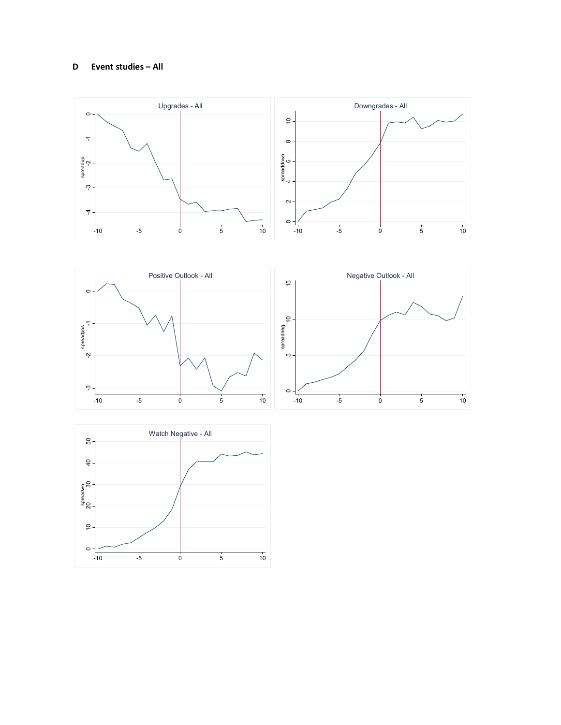#### **D Event studies – All**







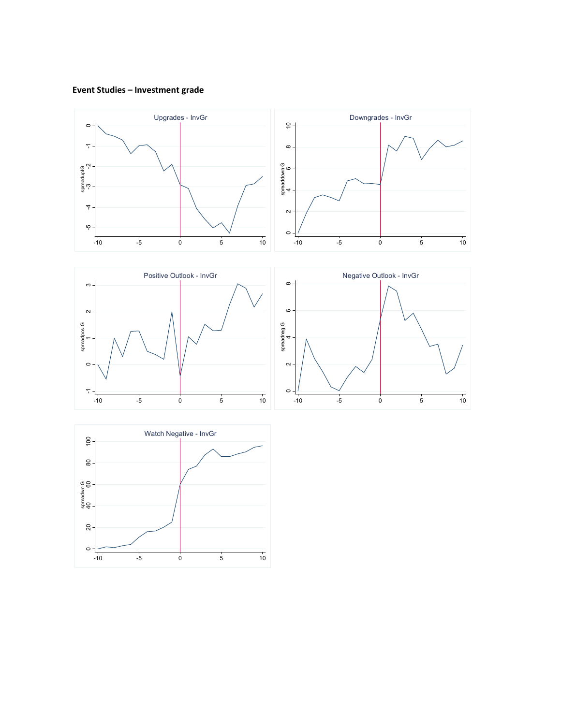## **Event Studies – Investment grade**







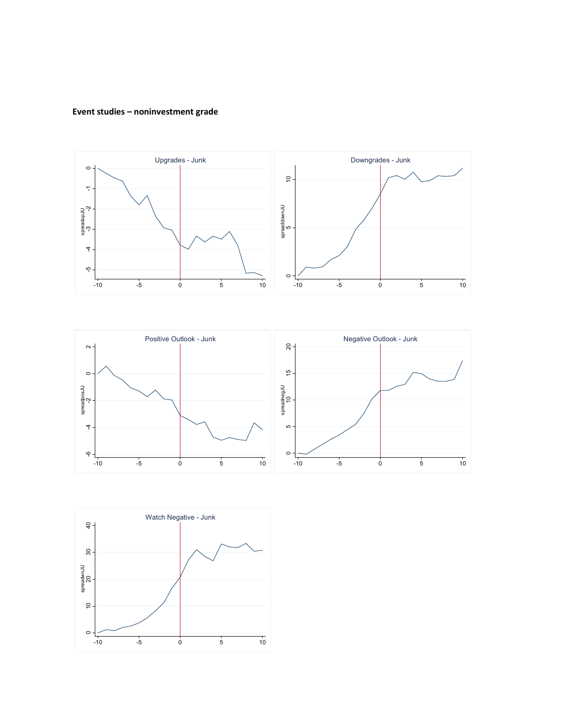### **Event studies – noninvestment grade**